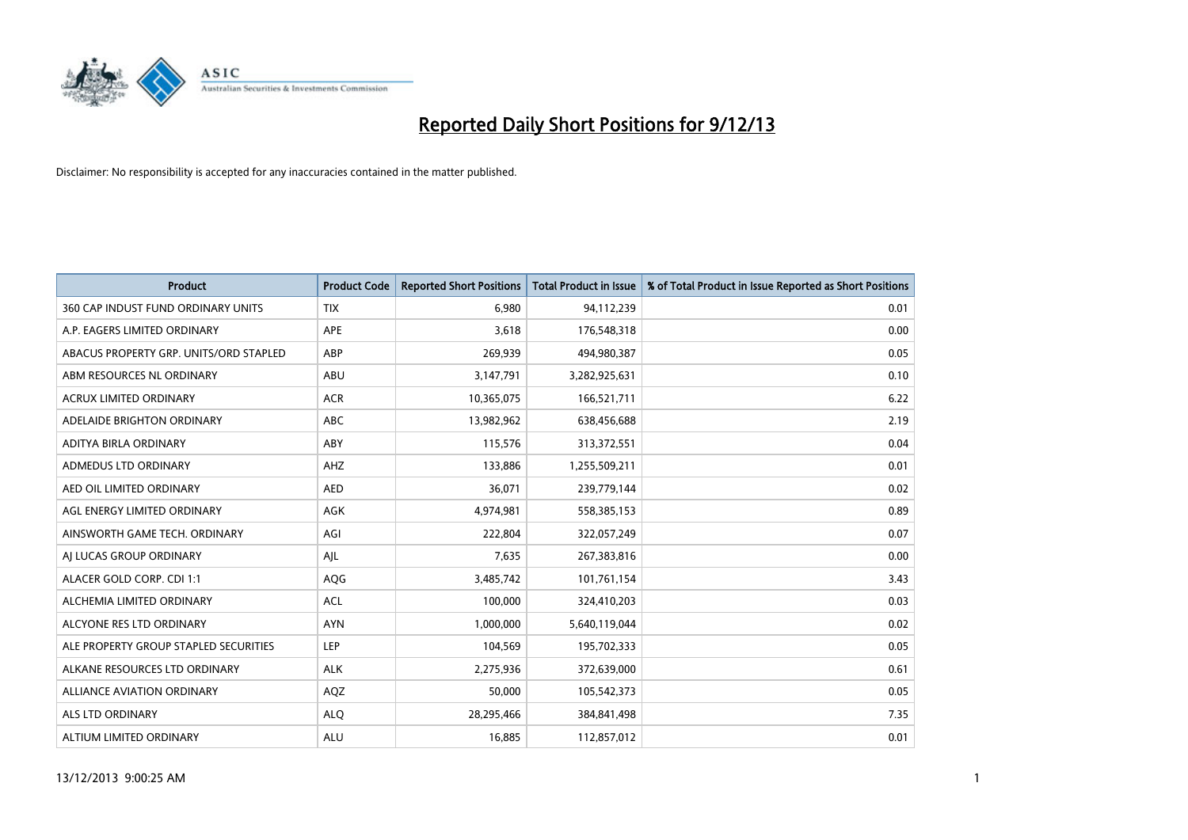

| <b>Product</b>                         | <b>Product Code</b> | <b>Reported Short Positions</b> | <b>Total Product in Issue</b> | % of Total Product in Issue Reported as Short Positions |
|----------------------------------------|---------------------|---------------------------------|-------------------------------|---------------------------------------------------------|
| 360 CAP INDUST FUND ORDINARY UNITS     | <b>TIX</b>          | 6,980                           | 94,112,239                    | 0.01                                                    |
| A.P. EAGERS LIMITED ORDINARY           | APE                 | 3,618                           | 176,548,318                   | 0.00                                                    |
| ABACUS PROPERTY GRP. UNITS/ORD STAPLED | ABP                 | 269,939                         | 494,980,387                   | 0.05                                                    |
| ABM RESOURCES NL ORDINARY              | ABU                 | 3,147,791                       | 3,282,925,631                 | 0.10                                                    |
| <b>ACRUX LIMITED ORDINARY</b>          | <b>ACR</b>          | 10,365,075                      | 166,521,711                   | 6.22                                                    |
| ADELAIDE BRIGHTON ORDINARY             | ABC                 | 13,982,962                      | 638,456,688                   | 2.19                                                    |
| ADITYA BIRLA ORDINARY                  | ABY                 | 115,576                         | 313,372,551                   | 0.04                                                    |
| ADMEDUS LTD ORDINARY                   | AHZ                 | 133,886                         | 1,255,509,211                 | 0.01                                                    |
| AED OIL LIMITED ORDINARY               | <b>AED</b>          | 36,071                          | 239,779,144                   | 0.02                                                    |
| AGL ENERGY LIMITED ORDINARY            | <b>AGK</b>          | 4,974,981                       | 558,385,153                   | 0.89                                                    |
| AINSWORTH GAME TECH. ORDINARY          | AGI                 | 222,804                         | 322,057,249                   | 0.07                                                    |
| AI LUCAS GROUP ORDINARY                | AJL                 | 7,635                           | 267,383,816                   | 0.00                                                    |
| ALACER GOLD CORP. CDI 1:1              | AQG                 | 3,485,742                       | 101,761,154                   | 3.43                                                    |
| ALCHEMIA LIMITED ORDINARY              | <b>ACL</b>          | 100,000                         | 324,410,203                   | 0.03                                                    |
| ALCYONE RES LTD ORDINARY               | <b>AYN</b>          | 1,000,000                       | 5,640,119,044                 | 0.02                                                    |
| ALE PROPERTY GROUP STAPLED SECURITIES  | LEP                 | 104,569                         | 195,702,333                   | 0.05                                                    |
| ALKANE RESOURCES LTD ORDINARY          | <b>ALK</b>          | 2,275,936                       | 372,639,000                   | 0.61                                                    |
| <b>ALLIANCE AVIATION ORDINARY</b>      | AQZ                 | 50,000                          | 105,542,373                   | 0.05                                                    |
| ALS LTD ORDINARY                       | <b>ALQ</b>          | 28,295,466                      | 384,841,498                   | 7.35                                                    |
| ALTIUM LIMITED ORDINARY                | <b>ALU</b>          | 16,885                          | 112,857,012                   | 0.01                                                    |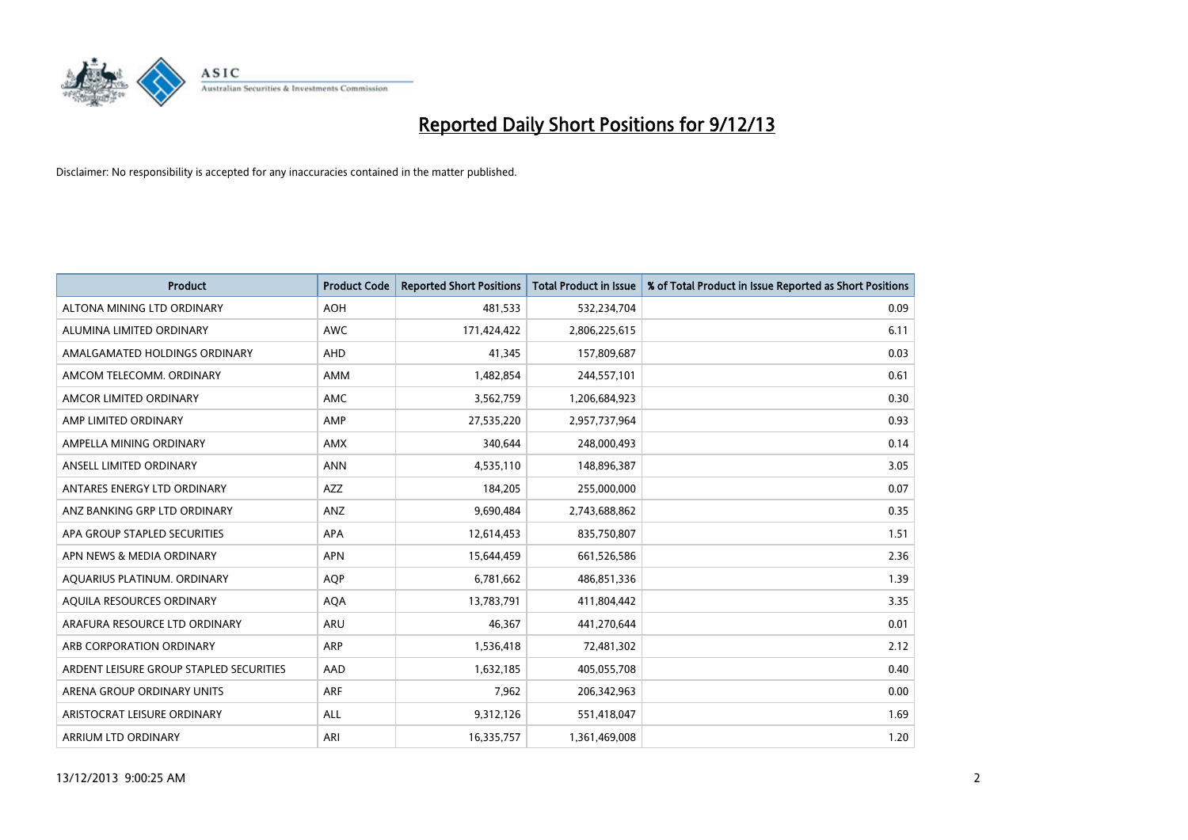

| <b>Product</b>                          | <b>Product Code</b> | <b>Reported Short Positions</b> | <b>Total Product in Issue</b> | % of Total Product in Issue Reported as Short Positions |
|-----------------------------------------|---------------------|---------------------------------|-------------------------------|---------------------------------------------------------|
| ALTONA MINING LTD ORDINARY              | <b>AOH</b>          | 481,533                         | 532,234,704                   | 0.09                                                    |
| ALUMINA LIMITED ORDINARY                | AWC                 | 171,424,422                     | 2,806,225,615                 | 6.11                                                    |
| AMALGAMATED HOLDINGS ORDINARY           | AHD                 | 41,345                          | 157,809,687                   | 0.03                                                    |
| AMCOM TELECOMM, ORDINARY                | AMM                 | 1,482,854                       | 244,557,101                   | 0.61                                                    |
| AMCOR LIMITED ORDINARY                  | AMC                 | 3,562,759                       | 1,206,684,923                 | 0.30                                                    |
| AMP LIMITED ORDINARY                    | AMP                 | 27,535,220                      | 2,957,737,964                 | 0.93                                                    |
| AMPELLA MINING ORDINARY                 | AMX                 | 340,644                         | 248,000,493                   | 0.14                                                    |
| ANSELL LIMITED ORDINARY                 | <b>ANN</b>          | 4,535,110                       | 148,896,387                   | 3.05                                                    |
| ANTARES ENERGY LTD ORDINARY             | <b>AZZ</b>          | 184,205                         | 255,000,000                   | 0.07                                                    |
| ANZ BANKING GRP LTD ORDINARY            | ANZ                 | 9,690,484                       | 2,743,688,862                 | 0.35                                                    |
| APA GROUP STAPLED SECURITIES            | APA                 | 12,614,453                      | 835,750,807                   | 1.51                                                    |
| APN NEWS & MEDIA ORDINARY               | <b>APN</b>          | 15,644,459                      | 661,526,586                   | 2.36                                                    |
| AQUARIUS PLATINUM. ORDINARY             | <b>AOP</b>          | 6,781,662                       | 486,851,336                   | 1.39                                                    |
| AOUILA RESOURCES ORDINARY               | <b>AQA</b>          | 13,783,791                      | 411,804,442                   | 3.35                                                    |
| ARAFURA RESOURCE LTD ORDINARY           | ARU                 | 46,367                          | 441,270,644                   | 0.01                                                    |
| ARB CORPORATION ORDINARY                | ARP                 | 1,536,418                       | 72,481,302                    | 2.12                                                    |
| ARDENT LEISURE GROUP STAPLED SECURITIES | AAD                 | 1,632,185                       | 405,055,708                   | 0.40                                                    |
| ARENA GROUP ORDINARY UNITS              | <b>ARF</b>          | 7,962                           | 206,342,963                   | 0.00                                                    |
| ARISTOCRAT LEISURE ORDINARY             | <b>ALL</b>          | 9,312,126                       | 551,418,047                   | 1.69                                                    |
| ARRIUM LTD ORDINARY                     | ARI                 | 16,335,757                      | 1,361,469,008                 | 1.20                                                    |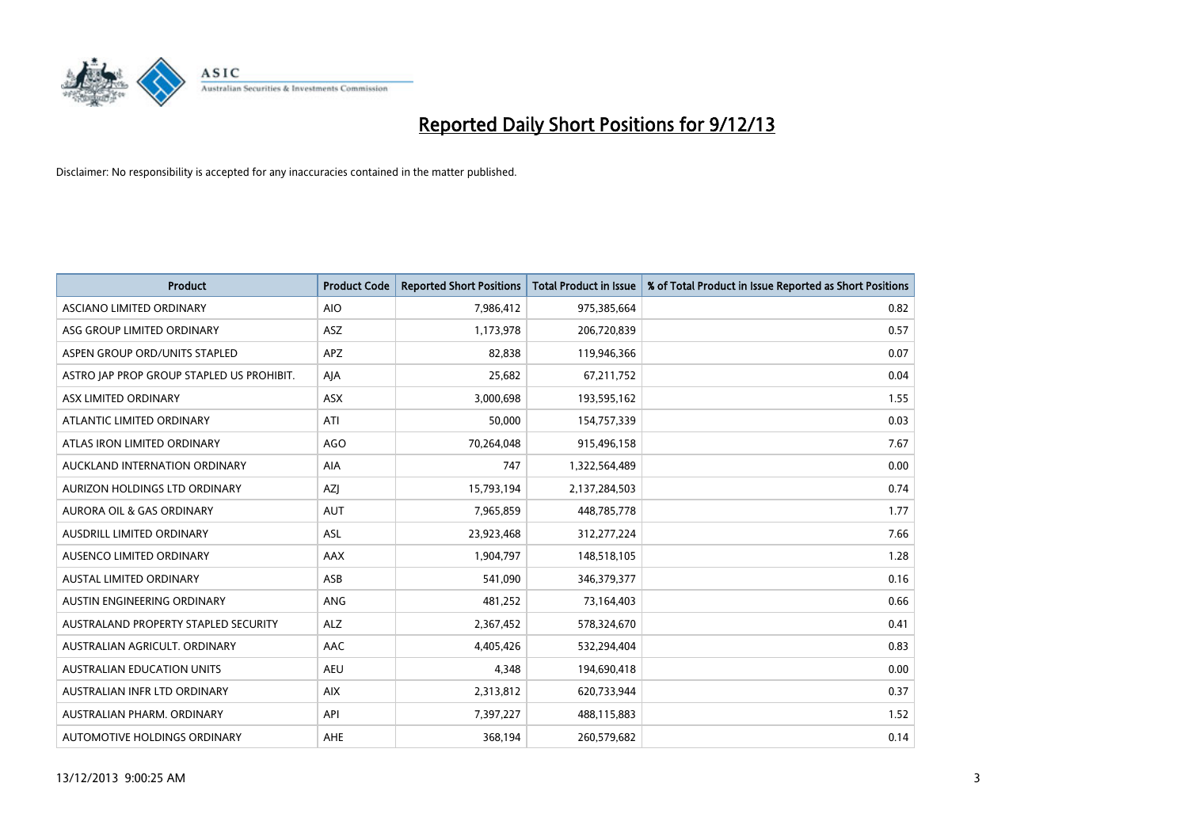

| <b>Product</b>                            | <b>Product Code</b> | <b>Reported Short Positions</b> | <b>Total Product in Issue</b> | % of Total Product in Issue Reported as Short Positions |
|-------------------------------------------|---------------------|---------------------------------|-------------------------------|---------------------------------------------------------|
| ASCIANO LIMITED ORDINARY                  | <b>AIO</b>          | 7,986,412                       | 975,385,664                   | 0.82                                                    |
| ASG GROUP LIMITED ORDINARY                | ASZ                 | 1,173,978                       | 206,720,839                   | 0.57                                                    |
| ASPEN GROUP ORD/UNITS STAPLED             | <b>APZ</b>          | 82,838                          | 119,946,366                   | 0.07                                                    |
| ASTRO JAP PROP GROUP STAPLED US PROHIBIT. | AJA                 | 25,682                          | 67,211,752                    | 0.04                                                    |
| ASX LIMITED ORDINARY                      | ASX                 | 3,000,698                       | 193,595,162                   | 1.55                                                    |
| ATLANTIC LIMITED ORDINARY                 | ATI                 | 50,000                          | 154,757,339                   | 0.03                                                    |
| ATLAS IRON LIMITED ORDINARY               | <b>AGO</b>          | 70,264,048                      | 915,496,158                   | 7.67                                                    |
| AUCKLAND INTERNATION ORDINARY             | AIA                 | 747                             | 1,322,564,489                 | 0.00                                                    |
| AURIZON HOLDINGS LTD ORDINARY             | <b>AZI</b>          | 15,793,194                      | 2,137,284,503                 | 0.74                                                    |
| <b>AURORA OIL &amp; GAS ORDINARY</b>      | <b>AUT</b>          | 7,965,859                       | 448,785,778                   | 1.77                                                    |
| AUSDRILL LIMITED ORDINARY                 | <b>ASL</b>          | 23,923,468                      | 312,277,224                   | 7.66                                                    |
| AUSENCO LIMITED ORDINARY                  | AAX                 | 1,904,797                       | 148,518,105                   | 1.28                                                    |
| <b>AUSTAL LIMITED ORDINARY</b>            | ASB                 | 541,090                         | 346,379,377                   | 0.16                                                    |
| AUSTIN ENGINEERING ORDINARY               | ANG                 | 481,252                         | 73,164,403                    | 0.66                                                    |
| AUSTRALAND PROPERTY STAPLED SECURITY      | <b>ALZ</b>          | 2,367,452                       | 578,324,670                   | 0.41                                                    |
| AUSTRALIAN AGRICULT, ORDINARY             | <b>AAC</b>          | 4,405,426                       | 532,294,404                   | 0.83                                                    |
| <b>AUSTRALIAN EDUCATION UNITS</b>         | <b>AEU</b>          | 4,348                           | 194,690,418                   | 0.00                                                    |
| AUSTRALIAN INFR LTD ORDINARY              | <b>AIX</b>          | 2,313,812                       | 620,733,944                   | 0.37                                                    |
| AUSTRALIAN PHARM, ORDINARY                | API                 | 7,397,227                       | 488,115,883                   | 1.52                                                    |
| AUTOMOTIVE HOLDINGS ORDINARY              | AHE                 | 368,194                         | 260,579,682                   | 0.14                                                    |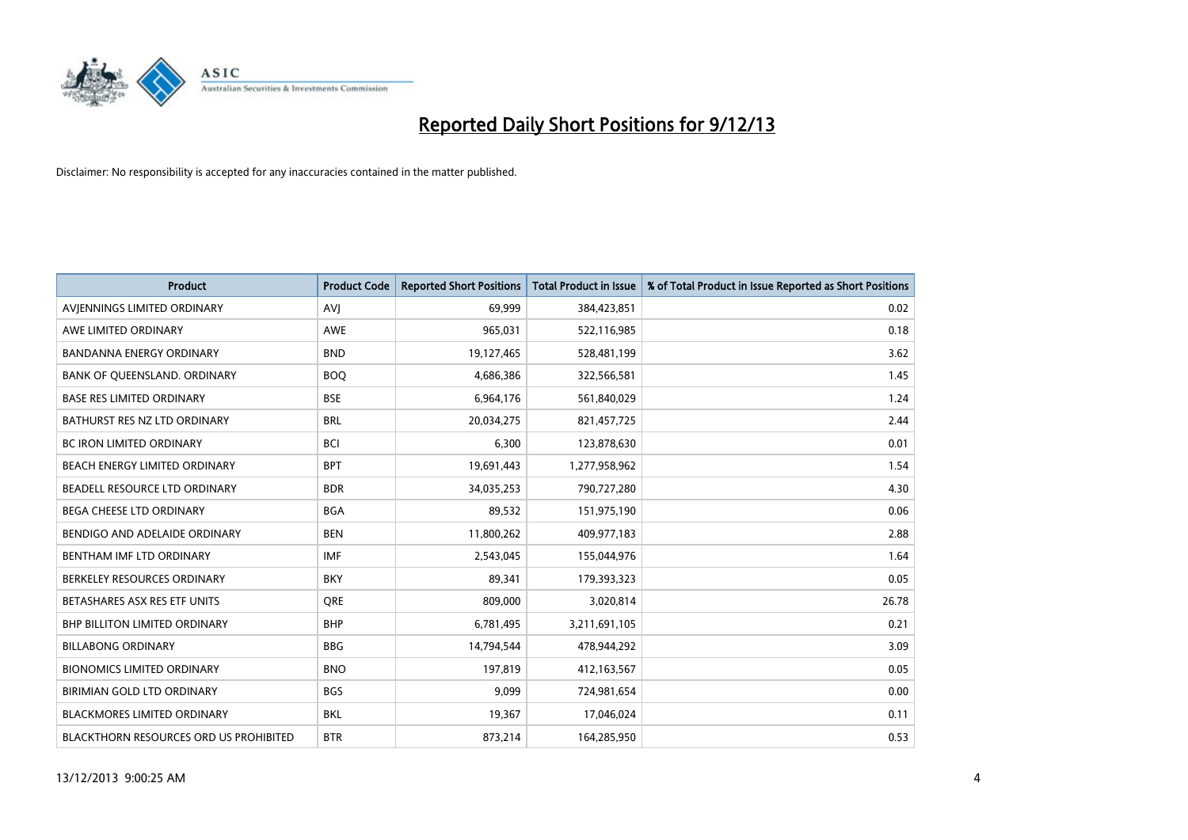

| Product                                | <b>Product Code</b> | <b>Reported Short Positions</b> | <b>Total Product in Issue</b> | % of Total Product in Issue Reported as Short Positions |
|----------------------------------------|---------------------|---------------------------------|-------------------------------|---------------------------------------------------------|
| AVIENNINGS LIMITED ORDINARY            | <b>AVI</b>          | 69.999                          | 384,423,851                   | 0.02                                                    |
| AWE LIMITED ORDINARY                   | <b>AWE</b>          | 965,031                         | 522,116,985                   | 0.18                                                    |
| <b>BANDANNA ENERGY ORDINARY</b>        | <b>BND</b>          | 19,127,465                      | 528,481,199                   | 3.62                                                    |
| BANK OF QUEENSLAND. ORDINARY           | <b>BOQ</b>          | 4,686,386                       | 322,566,581                   | 1.45                                                    |
| <b>BASE RES LIMITED ORDINARY</b>       | <b>BSE</b>          | 6,964,176                       | 561,840,029                   | 1.24                                                    |
| BATHURST RES NZ LTD ORDINARY           | <b>BRL</b>          | 20,034,275                      | 821,457,725                   | 2.44                                                    |
| BC IRON LIMITED ORDINARY               | <b>BCI</b>          | 6,300                           | 123,878,630                   | 0.01                                                    |
| BEACH ENERGY LIMITED ORDINARY          | <b>BPT</b>          | 19,691,443                      | 1,277,958,962                 | 1.54                                                    |
| BEADELL RESOURCE LTD ORDINARY          | <b>BDR</b>          | 34,035,253                      | 790,727,280                   | 4.30                                                    |
| <b>BEGA CHEESE LTD ORDINARY</b>        | <b>BGA</b>          | 89,532                          | 151,975,190                   | 0.06                                                    |
| BENDIGO AND ADELAIDE ORDINARY          | <b>BEN</b>          | 11,800,262                      | 409,977,183                   | 2.88                                                    |
| BENTHAM IMF LTD ORDINARY               | <b>IMF</b>          | 2,543,045                       | 155,044,976                   | 1.64                                                    |
| BERKELEY RESOURCES ORDINARY            | <b>BKY</b>          | 89,341                          | 179,393,323                   | 0.05                                                    |
| BETASHARES ASX RES ETF UNITS           | <b>ORE</b>          | 809,000                         | 3,020,814                     | 26.78                                                   |
| <b>BHP BILLITON LIMITED ORDINARY</b>   | <b>BHP</b>          | 6,781,495                       | 3,211,691,105                 | 0.21                                                    |
| <b>BILLABONG ORDINARY</b>              | <b>BBG</b>          | 14,794,544                      | 478,944,292                   | 3.09                                                    |
| <b>BIONOMICS LIMITED ORDINARY</b>      | <b>BNO</b>          | 197,819                         | 412,163,567                   | 0.05                                                    |
| BIRIMIAN GOLD LTD ORDINARY             | <b>BGS</b>          | 9,099                           | 724,981,654                   | 0.00                                                    |
| <b>BLACKMORES LIMITED ORDINARY</b>     | <b>BKL</b>          | 19,367                          | 17,046,024                    | 0.11                                                    |
| BLACKTHORN RESOURCES ORD US PROHIBITED | <b>BTR</b>          | 873,214                         | 164,285,950                   | 0.53                                                    |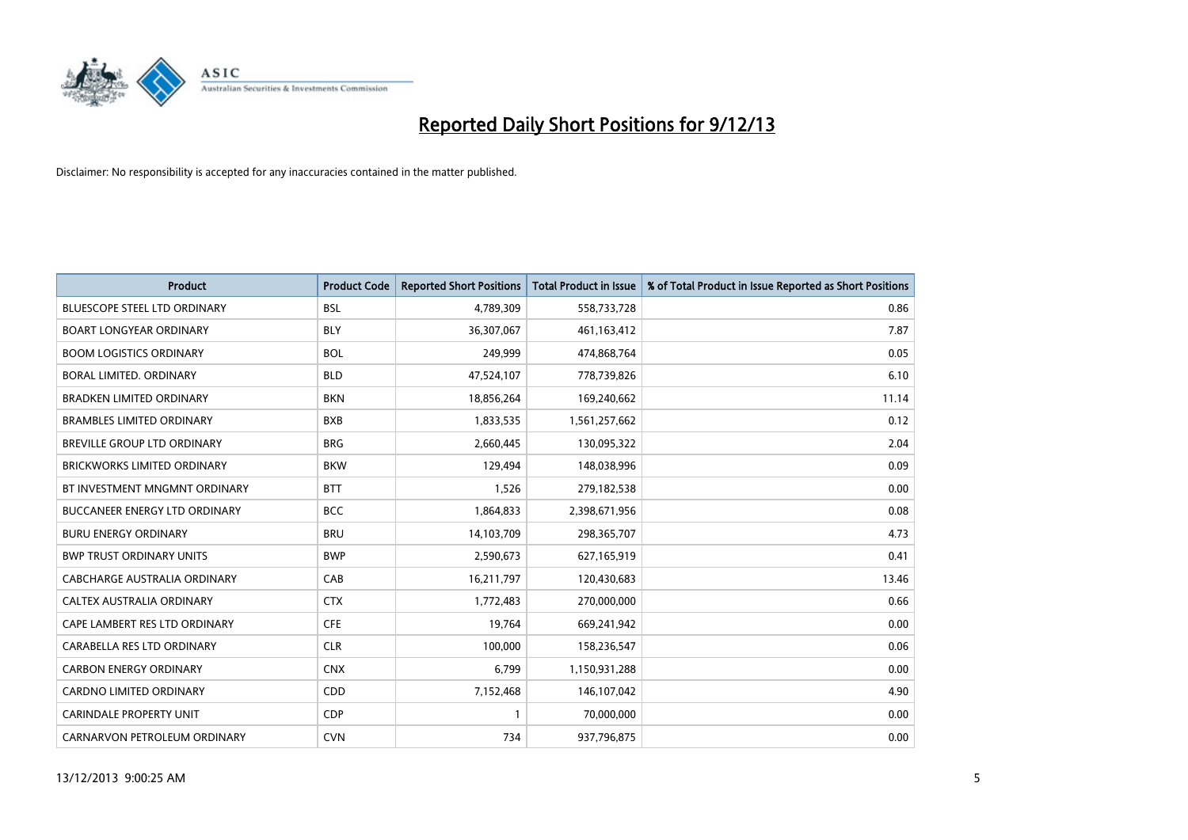

| <b>Product</b>                       | <b>Product Code</b> | <b>Reported Short Positions</b> | <b>Total Product in Issue</b> | % of Total Product in Issue Reported as Short Positions |
|--------------------------------------|---------------------|---------------------------------|-------------------------------|---------------------------------------------------------|
| <b>BLUESCOPE STEEL LTD ORDINARY</b>  | <b>BSL</b>          | 4,789,309                       | 558,733,728                   | 0.86                                                    |
| <b>BOART LONGYEAR ORDINARY</b>       | <b>BLY</b>          | 36,307,067                      | 461,163,412                   | 7.87                                                    |
| <b>BOOM LOGISTICS ORDINARY</b>       | <b>BOL</b>          | 249,999                         | 474,868,764                   | 0.05                                                    |
| BORAL LIMITED. ORDINARY              | <b>BLD</b>          | 47,524,107                      | 778,739,826                   | 6.10                                                    |
| <b>BRADKEN LIMITED ORDINARY</b>      | <b>BKN</b>          | 18,856,264                      | 169,240,662                   | 11.14                                                   |
| <b>BRAMBLES LIMITED ORDINARY</b>     | <b>BXB</b>          | 1,833,535                       | 1,561,257,662                 | 0.12                                                    |
| <b>BREVILLE GROUP LTD ORDINARY</b>   | <b>BRG</b>          | 2,660,445                       | 130,095,322                   | 2.04                                                    |
| <b>BRICKWORKS LIMITED ORDINARY</b>   | <b>BKW</b>          | 129,494                         | 148,038,996                   | 0.09                                                    |
| BT INVESTMENT MNGMNT ORDINARY        | <b>BTT</b>          | 1,526                           | 279,182,538                   | 0.00                                                    |
| <b>BUCCANEER ENERGY LTD ORDINARY</b> | <b>BCC</b>          | 1,864,833                       | 2,398,671,956                 | 0.08                                                    |
| <b>BURU ENERGY ORDINARY</b>          | <b>BRU</b>          | 14,103,709                      | 298,365,707                   | 4.73                                                    |
| <b>BWP TRUST ORDINARY UNITS</b>      | <b>BWP</b>          | 2,590,673                       | 627,165,919                   | 0.41                                                    |
| <b>CABCHARGE AUSTRALIA ORDINARY</b>  | CAB                 | 16,211,797                      | 120,430,683                   | 13.46                                                   |
| CALTEX AUSTRALIA ORDINARY            | <b>CTX</b>          | 1,772,483                       | 270,000,000                   | 0.66                                                    |
| CAPE LAMBERT RES LTD ORDINARY        | <b>CFE</b>          | 19,764                          | 669,241,942                   | 0.00                                                    |
| CARABELLA RES LTD ORDINARY           | <b>CLR</b>          | 100,000                         | 158,236,547                   | 0.06                                                    |
| <b>CARBON ENERGY ORDINARY</b>        | <b>CNX</b>          | 6,799                           | 1,150,931,288                 | 0.00                                                    |
| CARDNO LIMITED ORDINARY              | CDD                 | 7,152,468                       | 146,107,042                   | 4.90                                                    |
| <b>CARINDALE PROPERTY UNIT</b>       | <b>CDP</b>          | $\mathbf{1}$                    | 70,000,000                    | 0.00                                                    |
| CARNARVON PETROLEUM ORDINARY         | <b>CVN</b>          | 734                             | 937,796,875                   | 0.00                                                    |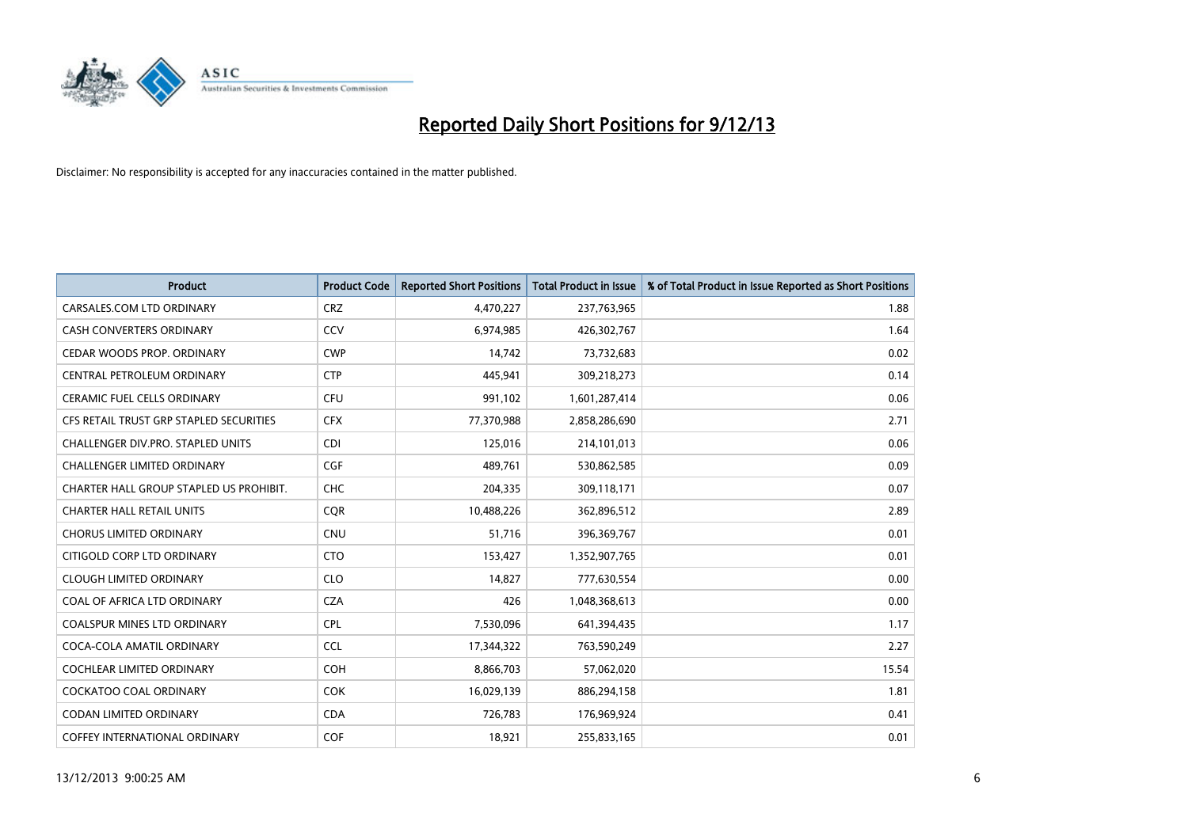

| <b>Product</b>                          | <b>Product Code</b> | <b>Reported Short Positions</b> | <b>Total Product in Issue</b> | % of Total Product in Issue Reported as Short Positions |
|-----------------------------------------|---------------------|---------------------------------|-------------------------------|---------------------------------------------------------|
| CARSALES.COM LTD ORDINARY               | <b>CRZ</b>          | 4,470,227                       | 237,763,965                   | 1.88                                                    |
| <b>CASH CONVERTERS ORDINARY</b>         | CCV                 | 6,974,985                       | 426,302,767                   | 1.64                                                    |
| CEDAR WOODS PROP. ORDINARY              | <b>CWP</b>          | 14,742                          | 73,732,683                    | 0.02                                                    |
| CENTRAL PETROLEUM ORDINARY              | <b>CTP</b>          | 445,941                         | 309,218,273                   | 0.14                                                    |
| <b>CERAMIC FUEL CELLS ORDINARY</b>      | <b>CFU</b>          | 991,102                         | 1,601,287,414                 | 0.06                                                    |
| CFS RETAIL TRUST GRP STAPLED SECURITIES | <b>CFX</b>          | 77,370,988                      | 2,858,286,690                 | 2.71                                                    |
| CHALLENGER DIV.PRO. STAPLED UNITS       | <b>CDI</b>          | 125,016                         | 214,101,013                   | 0.06                                                    |
| <b>CHALLENGER LIMITED ORDINARY</b>      | <b>CGF</b>          | 489,761                         | 530,862,585                   | 0.09                                                    |
| CHARTER HALL GROUP STAPLED US PROHIBIT. | <b>CHC</b>          | 204,335                         | 309,118,171                   | 0.07                                                    |
| <b>CHARTER HALL RETAIL UNITS</b>        | <b>COR</b>          | 10,488,226                      | 362,896,512                   | 2.89                                                    |
| <b>CHORUS LIMITED ORDINARY</b>          | <b>CNU</b>          | 51,716                          | 396,369,767                   | 0.01                                                    |
| CITIGOLD CORP LTD ORDINARY              | <b>CTO</b>          | 153,427                         | 1,352,907,765                 | 0.01                                                    |
| <b>CLOUGH LIMITED ORDINARY</b>          | <b>CLO</b>          | 14.827                          | 777,630,554                   | 0.00                                                    |
| COAL OF AFRICA LTD ORDINARY             | <b>CZA</b>          | 426                             | 1,048,368,613                 | 0.00                                                    |
| COALSPUR MINES LTD ORDINARY             | <b>CPL</b>          | 7,530,096                       | 641,394,435                   | 1.17                                                    |
| COCA-COLA AMATIL ORDINARY               | <b>CCL</b>          | 17,344,322                      | 763,590,249                   | 2.27                                                    |
| <b>COCHLEAR LIMITED ORDINARY</b>        | <b>COH</b>          | 8,866,703                       | 57,062,020                    | 15.54                                                   |
| <b>COCKATOO COAL ORDINARY</b>           | <b>COK</b>          | 16,029,139                      | 886,294,158                   | 1.81                                                    |
| <b>CODAN LIMITED ORDINARY</b>           | <b>CDA</b>          | 726,783                         | 176,969,924                   | 0.41                                                    |
| COFFEY INTERNATIONAL ORDINARY           | COF                 | 18,921                          | 255,833,165                   | 0.01                                                    |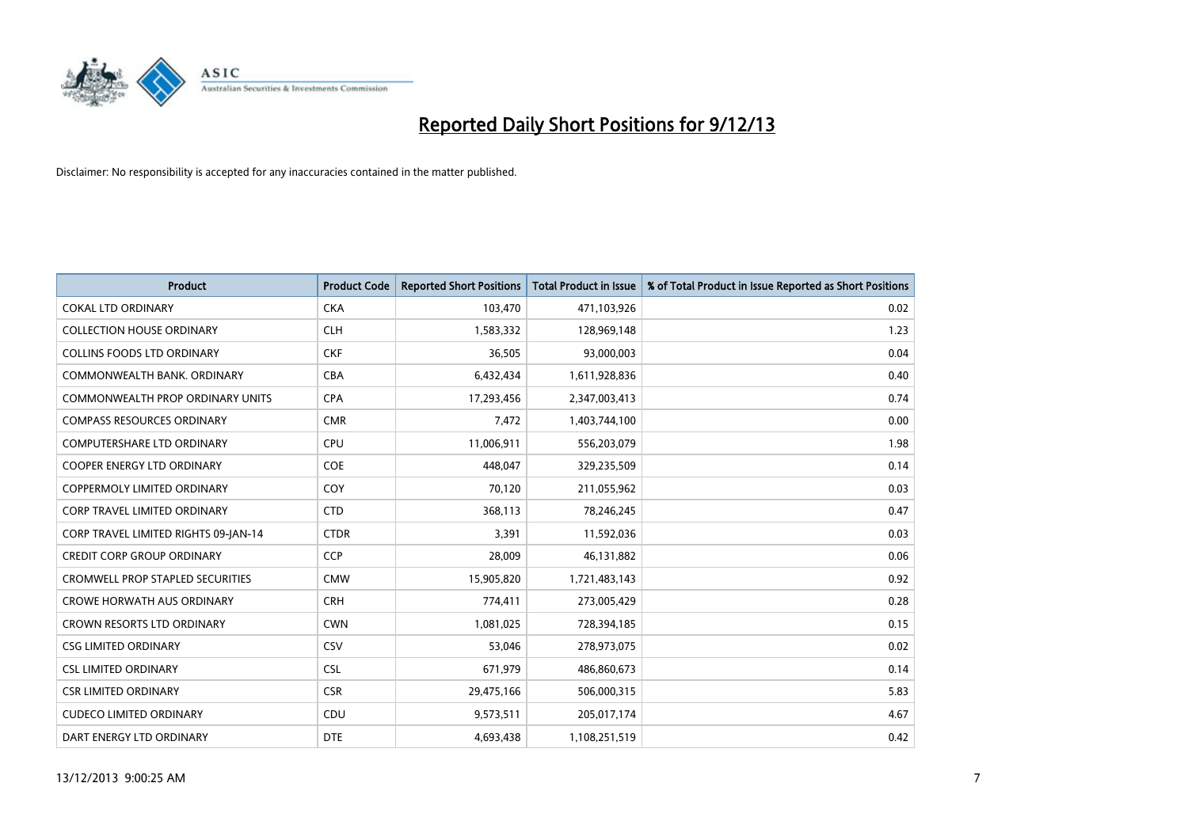

| <b>Product</b>                          | <b>Product Code</b> | <b>Reported Short Positions</b> | <b>Total Product in Issue</b> | % of Total Product in Issue Reported as Short Positions |
|-----------------------------------------|---------------------|---------------------------------|-------------------------------|---------------------------------------------------------|
| <b>COKAL LTD ORDINARY</b>               | <b>CKA</b>          | 103,470                         | 471,103,926                   | 0.02                                                    |
| <b>COLLECTION HOUSE ORDINARY</b>        | <b>CLH</b>          | 1,583,332                       | 128,969,148                   | 1.23                                                    |
| <b>COLLINS FOODS LTD ORDINARY</b>       | <b>CKF</b>          | 36,505                          | 93,000,003                    | 0.04                                                    |
| COMMONWEALTH BANK, ORDINARY             | <b>CBA</b>          | 6,432,434                       | 1,611,928,836                 | 0.40                                                    |
| COMMONWEALTH PROP ORDINARY UNITS        | <b>CPA</b>          | 17,293,456                      | 2,347,003,413                 | 0.74                                                    |
| <b>COMPASS RESOURCES ORDINARY</b>       | <b>CMR</b>          | 7,472                           | 1,403,744,100                 | 0.00                                                    |
| <b>COMPUTERSHARE LTD ORDINARY</b>       | <b>CPU</b>          | 11,006,911                      | 556,203,079                   | 1.98                                                    |
| COOPER ENERGY LTD ORDINARY              | <b>COE</b>          | 448,047                         | 329,235,509                   | 0.14                                                    |
| <b>COPPERMOLY LIMITED ORDINARY</b>      | COY                 | 70,120                          | 211,055,962                   | 0.03                                                    |
| <b>CORP TRAVEL LIMITED ORDINARY</b>     | <b>CTD</b>          | 368,113                         | 78,246,245                    | 0.47                                                    |
| CORP TRAVEL LIMITED RIGHTS 09-JAN-14    | <b>CTDR</b>         | 3,391                           | 11,592,036                    | 0.03                                                    |
| <b>CREDIT CORP GROUP ORDINARY</b>       | <b>CCP</b>          | 28,009                          | 46,131,882                    | 0.06                                                    |
| <b>CROMWELL PROP STAPLED SECURITIES</b> | <b>CMW</b>          | 15,905,820                      | 1,721,483,143                 | 0.92                                                    |
| <b>CROWE HORWATH AUS ORDINARY</b>       | <b>CRH</b>          | 774,411                         | 273,005,429                   | 0.28                                                    |
| <b>CROWN RESORTS LTD ORDINARY</b>       | <b>CWN</b>          | 1,081,025                       | 728,394,185                   | 0.15                                                    |
| <b>CSG LIMITED ORDINARY</b>             | CSV                 | 53,046                          | 278,973,075                   | 0.02                                                    |
| <b>CSL LIMITED ORDINARY</b>             | <b>CSL</b>          | 671,979                         | 486,860,673                   | 0.14                                                    |
| <b>CSR LIMITED ORDINARY</b>             | <b>CSR</b>          | 29,475,166                      | 506,000,315                   | 5.83                                                    |
| <b>CUDECO LIMITED ORDINARY</b>          | CDU                 | 9,573,511                       | 205,017,174                   | 4.67                                                    |
| DART ENERGY LTD ORDINARY                | <b>DTE</b>          | 4,693,438                       | 1,108,251,519                 | 0.42                                                    |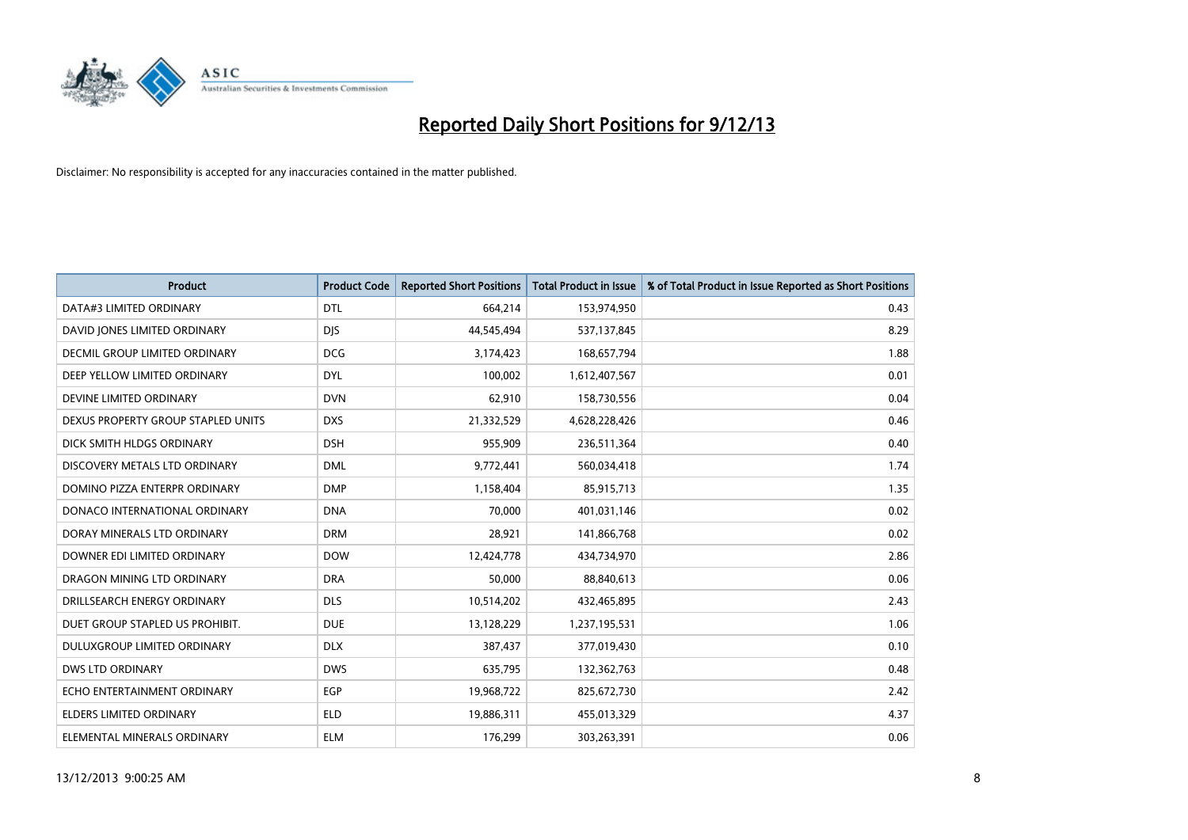

| <b>Product</b>                     | <b>Product Code</b> | <b>Reported Short Positions</b> | <b>Total Product in Issue</b> | % of Total Product in Issue Reported as Short Positions |
|------------------------------------|---------------------|---------------------------------|-------------------------------|---------------------------------------------------------|
| DATA#3 LIMITED ORDINARY            | <b>DTL</b>          | 664,214                         | 153,974,950                   | 0.43                                                    |
| DAVID JONES LIMITED ORDINARY       | <b>DJS</b>          | 44,545,494                      | 537,137,845                   | 8.29                                                    |
| DECMIL GROUP LIMITED ORDINARY      | <b>DCG</b>          | 3,174,423                       | 168,657,794                   | 1.88                                                    |
| DEEP YELLOW LIMITED ORDINARY       | <b>DYL</b>          | 100,002                         | 1,612,407,567                 | 0.01                                                    |
| DEVINE LIMITED ORDINARY            | <b>DVN</b>          | 62,910                          | 158,730,556                   | 0.04                                                    |
| DEXUS PROPERTY GROUP STAPLED UNITS | <b>DXS</b>          | 21,332,529                      | 4,628,228,426                 | 0.46                                                    |
| DICK SMITH HLDGS ORDINARY          | <b>DSH</b>          | 955.909                         | 236,511,364                   | 0.40                                                    |
| DISCOVERY METALS LTD ORDINARY      | <b>DML</b>          | 9,772,441                       | 560,034,418                   | 1.74                                                    |
| DOMINO PIZZA ENTERPR ORDINARY      | <b>DMP</b>          | 1,158,404                       | 85,915,713                    | 1.35                                                    |
| DONACO INTERNATIONAL ORDINARY      | <b>DNA</b>          | 70,000                          | 401,031,146                   | 0.02                                                    |
| DORAY MINERALS LTD ORDINARY        | <b>DRM</b>          | 28,921                          | 141,866,768                   | 0.02                                                    |
| DOWNER EDI LIMITED ORDINARY        | <b>DOW</b>          | 12,424,778                      | 434,734,970                   | 2.86                                                    |
| DRAGON MINING LTD ORDINARY         | <b>DRA</b>          | 50,000                          | 88,840,613                    | 0.06                                                    |
| DRILLSEARCH ENERGY ORDINARY        | <b>DLS</b>          | 10,514,202                      | 432,465,895                   | 2.43                                                    |
| DUET GROUP STAPLED US PROHIBIT.    | <b>DUE</b>          | 13,128,229                      | 1,237,195,531                 | 1.06                                                    |
| DULUXGROUP LIMITED ORDINARY        | <b>DLX</b>          | 387,437                         | 377,019,430                   | 0.10                                                    |
| <b>DWS LTD ORDINARY</b>            | <b>DWS</b>          | 635,795                         | 132,362,763                   | 0.48                                                    |
| ECHO ENTERTAINMENT ORDINARY        | <b>EGP</b>          | 19,968,722                      | 825,672,730                   | 2.42                                                    |
| <b>ELDERS LIMITED ORDINARY</b>     | <b>ELD</b>          | 19,886,311                      | 455,013,329                   | 4.37                                                    |
| ELEMENTAL MINERALS ORDINARY        | <b>ELM</b>          | 176,299                         | 303,263,391                   | 0.06                                                    |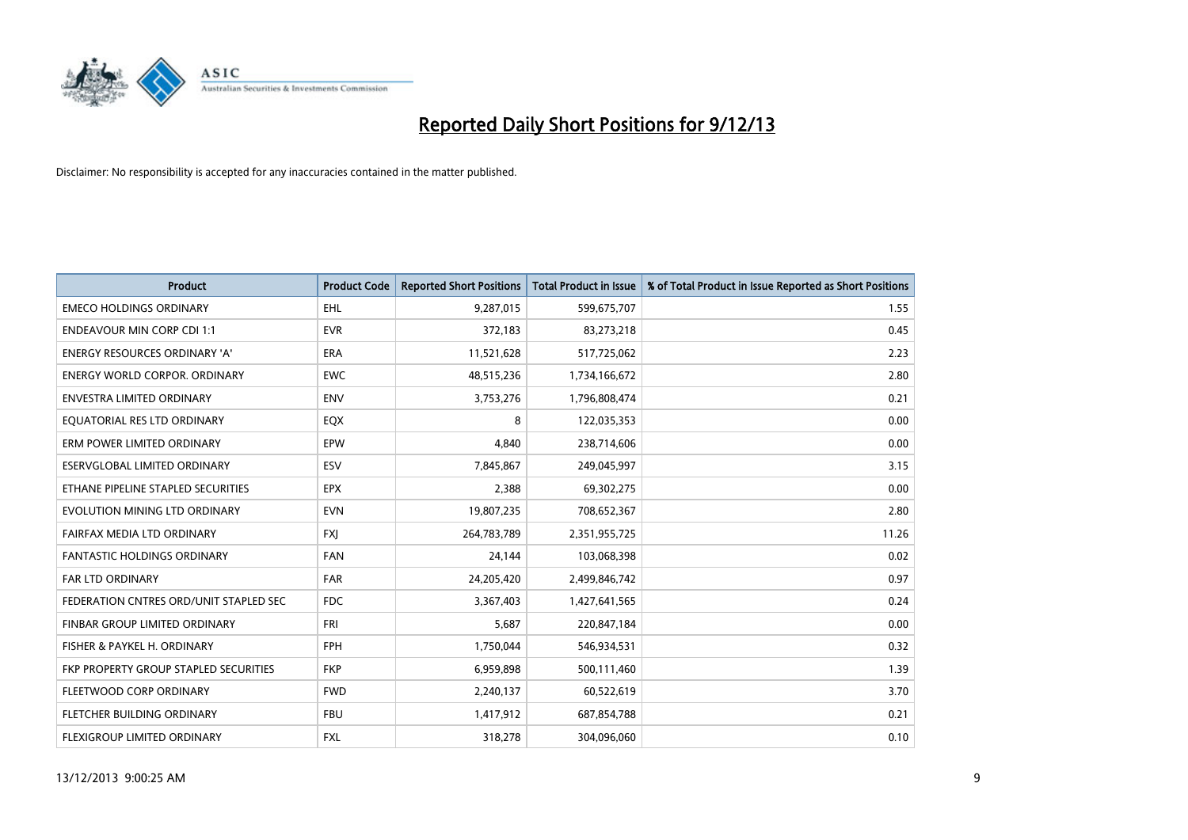

| <b>Product</b>                         | <b>Product Code</b> | <b>Reported Short Positions</b> | <b>Total Product in Issue</b> | % of Total Product in Issue Reported as Short Positions |
|----------------------------------------|---------------------|---------------------------------|-------------------------------|---------------------------------------------------------|
| <b>EMECO HOLDINGS ORDINARY</b>         | <b>EHL</b>          | 9,287,015                       | 599,675,707                   | 1.55                                                    |
| <b>ENDEAVOUR MIN CORP CDI 1:1</b>      | <b>EVR</b>          | 372,183                         | 83,273,218                    | 0.45                                                    |
| ENERGY RESOURCES ORDINARY 'A'          | <b>ERA</b>          | 11,521,628                      | 517,725,062                   | 2.23                                                    |
| <b>ENERGY WORLD CORPOR, ORDINARY</b>   | <b>EWC</b>          | 48,515,236                      | 1,734,166,672                 | 2.80                                                    |
| <b>ENVESTRA LIMITED ORDINARY</b>       | <b>ENV</b>          | 3,753,276                       | 1,796,808,474                 | 0.21                                                    |
| EQUATORIAL RES LTD ORDINARY            | EQX                 | 8                               | 122,035,353                   | 0.00                                                    |
| ERM POWER LIMITED ORDINARY             | EPW                 | 4,840                           | 238,714,606                   | 0.00                                                    |
| ESERVGLOBAL LIMITED ORDINARY           | ESV                 | 7,845,867                       | 249,045,997                   | 3.15                                                    |
| ETHANE PIPELINE STAPLED SECURITIES     | <b>EPX</b>          | 2,388                           | 69,302,275                    | 0.00                                                    |
| EVOLUTION MINING LTD ORDINARY          | <b>EVN</b>          | 19,807,235                      | 708,652,367                   | 2.80                                                    |
| FAIRFAX MEDIA LTD ORDINARY             | <b>FXJ</b>          | 264,783,789                     | 2,351,955,725                 | 11.26                                                   |
| FANTASTIC HOLDINGS ORDINARY            | <b>FAN</b>          | 24,144                          | 103,068,398                   | 0.02                                                    |
| <b>FAR LTD ORDINARY</b>                | <b>FAR</b>          | 24,205,420                      | 2,499,846,742                 | 0.97                                                    |
| FEDERATION CNTRES ORD/UNIT STAPLED SEC | <b>FDC</b>          | 3,367,403                       | 1,427,641,565                 | 0.24                                                    |
| FINBAR GROUP LIMITED ORDINARY          | <b>FRI</b>          | 5,687                           | 220,847,184                   | 0.00                                                    |
| FISHER & PAYKEL H. ORDINARY            | <b>FPH</b>          | 1,750,044                       | 546,934,531                   | 0.32                                                    |
| FKP PROPERTY GROUP STAPLED SECURITIES  | <b>FKP</b>          | 6,959,898                       | 500,111,460                   | 1.39                                                    |
| FLEETWOOD CORP ORDINARY                | <b>FWD</b>          | 2,240,137                       | 60,522,619                    | 3.70                                                    |
| FLETCHER BUILDING ORDINARY             | <b>FBU</b>          | 1,417,912                       | 687,854,788                   | 0.21                                                    |
| FLEXIGROUP LIMITED ORDINARY            | <b>FXL</b>          | 318,278                         | 304,096,060                   | 0.10                                                    |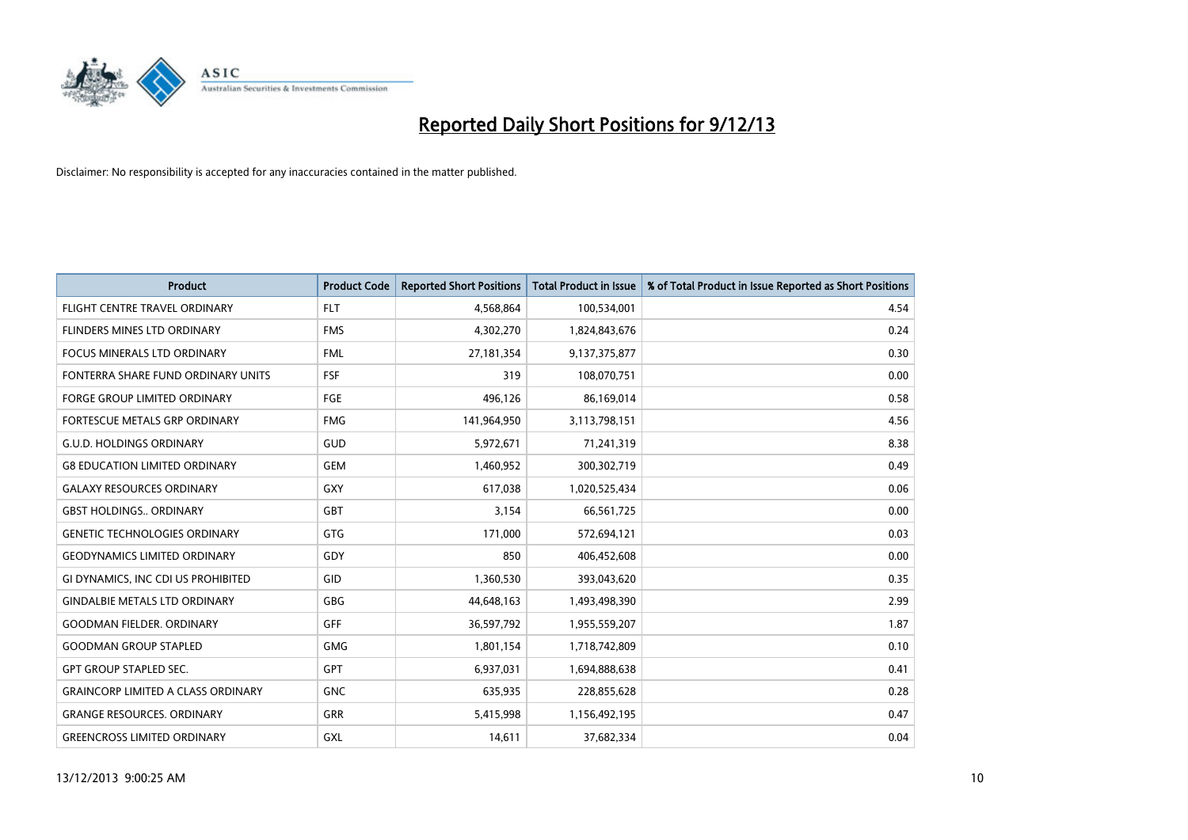

| <b>Product</b>                            | <b>Product Code</b> | <b>Reported Short Positions</b> | <b>Total Product in Issue</b> | % of Total Product in Issue Reported as Short Positions |
|-------------------------------------------|---------------------|---------------------------------|-------------------------------|---------------------------------------------------------|
| FLIGHT CENTRE TRAVEL ORDINARY             | <b>FLT</b>          | 4,568,864                       | 100,534,001                   | 4.54                                                    |
| FLINDERS MINES LTD ORDINARY               | <b>FMS</b>          | 4,302,270                       | 1,824,843,676                 | 0.24                                                    |
| FOCUS MINERALS LTD ORDINARY               | <b>FML</b>          | 27,181,354                      | 9,137,375,877                 | 0.30                                                    |
| FONTERRA SHARE FUND ORDINARY UNITS        | <b>FSF</b>          | 319                             | 108,070,751                   | 0.00                                                    |
| <b>FORGE GROUP LIMITED ORDINARY</b>       | FGE                 | 496,126                         | 86,169,014                    | 0.58                                                    |
| FORTESCUE METALS GRP ORDINARY             | <b>FMG</b>          | 141,964,950                     | 3,113,798,151                 | 4.56                                                    |
| <b>G.U.D. HOLDINGS ORDINARY</b>           | GUD                 | 5,972,671                       | 71,241,319                    | 8.38                                                    |
| <b>G8 EDUCATION LIMITED ORDINARY</b>      | <b>GEM</b>          | 1,460,952                       | 300,302,719                   | 0.49                                                    |
| <b>GALAXY RESOURCES ORDINARY</b>          | GXY                 | 617,038                         | 1,020,525,434                 | 0.06                                                    |
| <b>GBST HOLDINGS., ORDINARY</b>           | GBT                 | 3,154                           | 66,561,725                    | 0.00                                                    |
| <b>GENETIC TECHNOLOGIES ORDINARY</b>      | GTG                 | 171,000                         | 572,694,121                   | 0.03                                                    |
| <b>GEODYNAMICS LIMITED ORDINARY</b>       | GDY                 | 850                             | 406,452,608                   | 0.00                                                    |
| GI DYNAMICS, INC CDI US PROHIBITED        | GID                 | 1,360,530                       | 393,043,620                   | 0.35                                                    |
| <b>GINDALBIE METALS LTD ORDINARY</b>      | GBG                 | 44,648,163                      | 1,493,498,390                 | 2.99                                                    |
| <b>GOODMAN FIELDER, ORDINARY</b>          | <b>GFF</b>          | 36,597,792                      | 1,955,559,207                 | 1.87                                                    |
| <b>GOODMAN GROUP STAPLED</b>              | GMG                 | 1,801,154                       | 1,718,742,809                 | 0.10                                                    |
| <b>GPT GROUP STAPLED SEC.</b>             | GPT                 | 6,937,031                       | 1,694,888,638                 | 0.41                                                    |
| <b>GRAINCORP LIMITED A CLASS ORDINARY</b> | <b>GNC</b>          | 635,935                         | 228,855,628                   | 0.28                                                    |
| <b>GRANGE RESOURCES, ORDINARY</b>         | GRR                 | 5,415,998                       | 1,156,492,195                 | 0.47                                                    |
| <b>GREENCROSS LIMITED ORDINARY</b>        | <b>GXL</b>          | 14,611                          | 37,682,334                    | 0.04                                                    |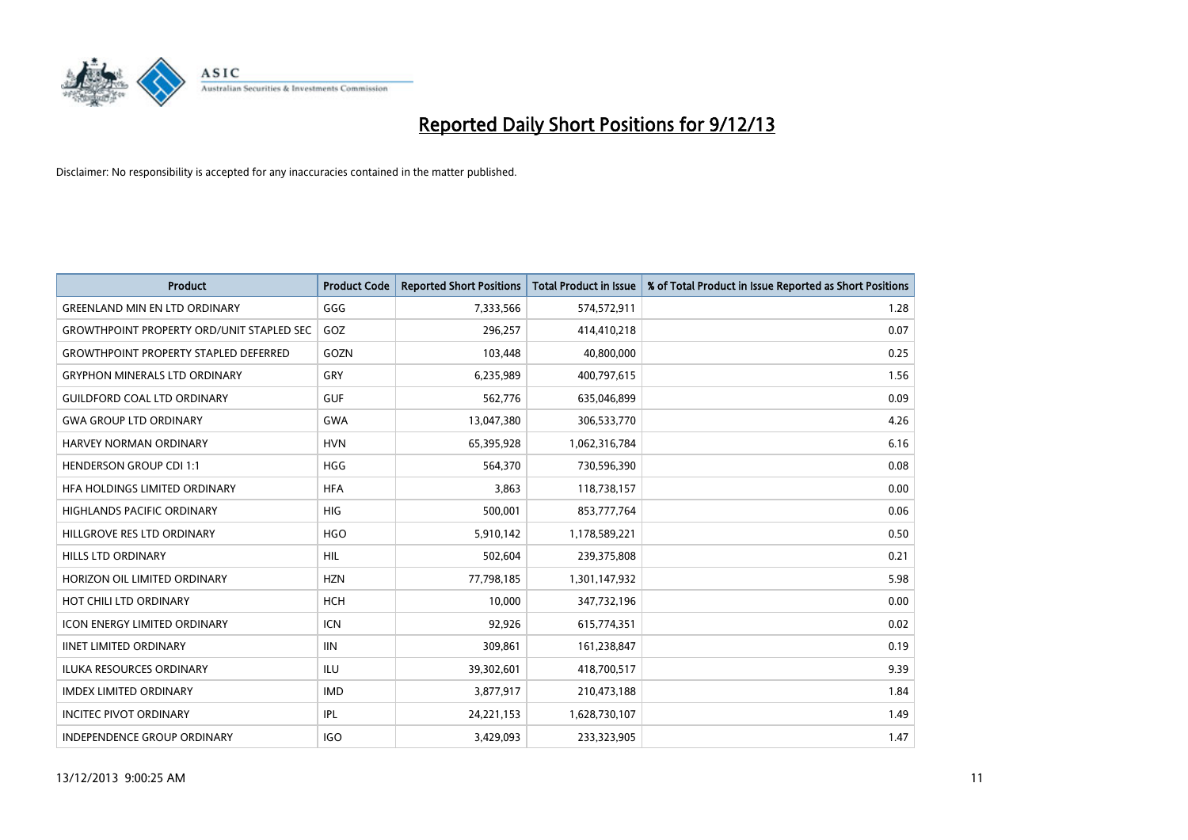

| <b>Product</b>                                   | <b>Product Code</b> | <b>Reported Short Positions</b> | <b>Total Product in Issue</b> | % of Total Product in Issue Reported as Short Positions |
|--------------------------------------------------|---------------------|---------------------------------|-------------------------------|---------------------------------------------------------|
| <b>GREENLAND MIN EN LTD ORDINARY</b>             | GGG                 | 7,333,566                       | 574,572,911                   | 1.28                                                    |
| <b>GROWTHPOINT PROPERTY ORD/UNIT STAPLED SEC</b> | GOZ                 | 296,257                         | 414,410,218                   | 0.07                                                    |
| <b>GROWTHPOINT PROPERTY STAPLED DEFERRED</b>     | GOZN                | 103,448                         | 40,800,000                    | 0.25                                                    |
| <b>GRYPHON MINERALS LTD ORDINARY</b>             | GRY                 | 6,235,989                       | 400,797,615                   | 1.56                                                    |
| <b>GUILDFORD COAL LTD ORDINARY</b>               | <b>GUF</b>          | 562,776                         | 635,046,899                   | 0.09                                                    |
| <b>GWA GROUP LTD ORDINARY</b>                    | <b>GWA</b>          | 13,047,380                      | 306,533,770                   | 4.26                                                    |
| <b>HARVEY NORMAN ORDINARY</b>                    | <b>HVN</b>          | 65,395,928                      | 1,062,316,784                 | 6.16                                                    |
| <b>HENDERSON GROUP CDI 1:1</b>                   | <b>HGG</b>          | 564,370                         | 730,596,390                   | 0.08                                                    |
| HEA HOLDINGS LIMITED ORDINARY                    | <b>HFA</b>          | 3,863                           | 118,738,157                   | 0.00                                                    |
| <b>HIGHLANDS PACIFIC ORDINARY</b>                | <b>HIG</b>          | 500,001                         | 853,777,764                   | 0.06                                                    |
| HILLGROVE RES LTD ORDINARY                       | <b>HGO</b>          | 5,910,142                       | 1,178,589,221                 | 0.50                                                    |
| <b>HILLS LTD ORDINARY</b>                        | HIL                 | 502,604                         | 239,375,808                   | 0.21                                                    |
| HORIZON OIL LIMITED ORDINARY                     | <b>HZN</b>          | 77,798,185                      | 1,301,147,932                 | 5.98                                                    |
| HOT CHILI LTD ORDINARY                           | <b>HCH</b>          | 10.000                          | 347,732,196                   | 0.00                                                    |
| ICON ENERGY LIMITED ORDINARY                     | <b>ICN</b>          | 92,926                          | 615,774,351                   | 0.02                                                    |
| <b>IINET LIMITED ORDINARY</b>                    | <b>IIN</b>          | 309,861                         | 161,238,847                   | 0.19                                                    |
| <b>ILUKA RESOURCES ORDINARY</b>                  | <b>ILU</b>          | 39,302,601                      | 418,700,517                   | 9.39                                                    |
| <b>IMDEX LIMITED ORDINARY</b>                    | <b>IMD</b>          | 3,877,917                       | 210,473,188                   | 1.84                                                    |
| <b>INCITEC PIVOT ORDINARY</b>                    | IPL                 | 24,221,153                      | 1,628,730,107                 | 1.49                                                    |
| INDEPENDENCE GROUP ORDINARY                      | <b>IGO</b>          | 3,429,093                       | 233,323,905                   | 1.47                                                    |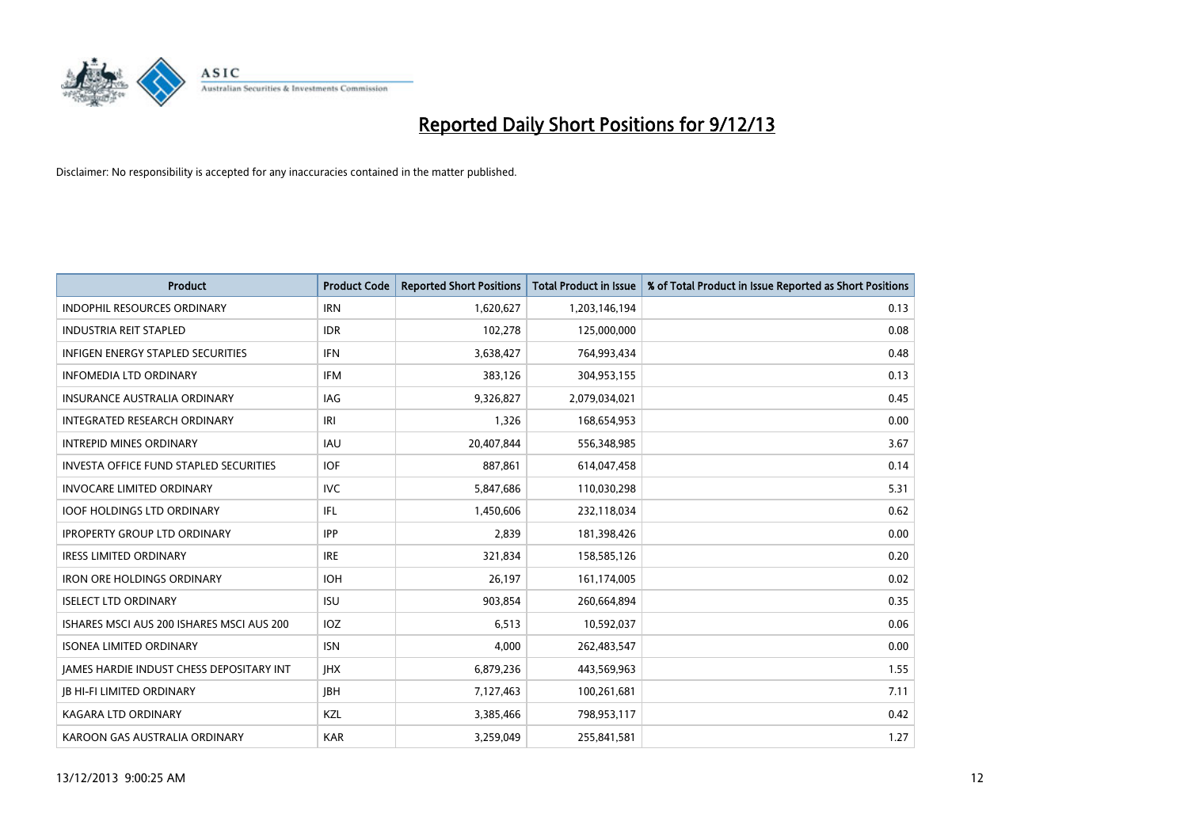

| <b>Product</b>                                | <b>Product Code</b> | <b>Reported Short Positions</b> | <b>Total Product in Issue</b> | % of Total Product in Issue Reported as Short Positions |
|-----------------------------------------------|---------------------|---------------------------------|-------------------------------|---------------------------------------------------------|
| <b>INDOPHIL RESOURCES ORDINARY</b>            | <b>IRN</b>          | 1,620,627                       | 1,203,146,194                 | 0.13                                                    |
| <b>INDUSTRIA REIT STAPLED</b>                 | <b>IDR</b>          | 102,278                         | 125,000,000                   | 0.08                                                    |
| <b>INFIGEN ENERGY STAPLED SECURITIES</b>      | <b>IFN</b>          | 3,638,427                       | 764,993,434                   | 0.48                                                    |
| <b>INFOMEDIA LTD ORDINARY</b>                 | <b>IFM</b>          | 383,126                         | 304,953,155                   | 0.13                                                    |
| <b>INSURANCE AUSTRALIA ORDINARY</b>           | IAG                 | 9,326,827                       | 2,079,034,021                 | 0.45                                                    |
| INTEGRATED RESEARCH ORDINARY                  | IRI                 | 1,326                           | 168,654,953                   | 0.00                                                    |
| <b>INTREPID MINES ORDINARY</b>                | <b>IAU</b>          | 20,407,844                      | 556,348,985                   | 3.67                                                    |
| <b>INVESTA OFFICE FUND STAPLED SECURITIES</b> | <b>IOF</b>          | 887,861                         | 614,047,458                   | 0.14                                                    |
| <b>INVOCARE LIMITED ORDINARY</b>              | <b>IVC</b>          | 5,847,686                       | 110,030,298                   | 5.31                                                    |
| <b>IOOF HOLDINGS LTD ORDINARY</b>             | IFL                 | 1,450,606                       | 232,118,034                   | 0.62                                                    |
| <b>IPROPERTY GROUP LTD ORDINARY</b>           | <b>IPP</b>          | 2,839                           | 181,398,426                   | 0.00                                                    |
| <b>IRESS LIMITED ORDINARY</b>                 | <b>IRE</b>          | 321,834                         | 158,585,126                   | 0.20                                                    |
| <b>IRON ORE HOLDINGS ORDINARY</b>             | <b>IOH</b>          | 26,197                          | 161,174,005                   | 0.02                                                    |
| <b>ISELECT LTD ORDINARY</b>                   | <b>ISU</b>          | 903,854                         | 260,664,894                   | 0.35                                                    |
| ISHARES MSCI AUS 200 ISHARES MSCI AUS 200     | <b>IOZ</b>          | 6,513                           | 10,592,037                    | 0.06                                                    |
| <b>ISONEA LIMITED ORDINARY</b>                | <b>ISN</b>          | 4.000                           | 262,483,547                   | 0.00                                                    |
| JAMES HARDIE INDUST CHESS DEPOSITARY INT      | <b>IHX</b>          | 6,879,236                       | 443,569,963                   | 1.55                                                    |
| <b>JB HI-FI LIMITED ORDINARY</b>              | <b>JBH</b>          | 7,127,463                       | 100,261,681                   | 7.11                                                    |
| <b>KAGARA LTD ORDINARY</b>                    | KZL                 | 3,385,466                       | 798,953,117                   | 0.42                                                    |
| KAROON GAS AUSTRALIA ORDINARY                 | <b>KAR</b>          | 3,259,049                       | 255,841,581                   | 1.27                                                    |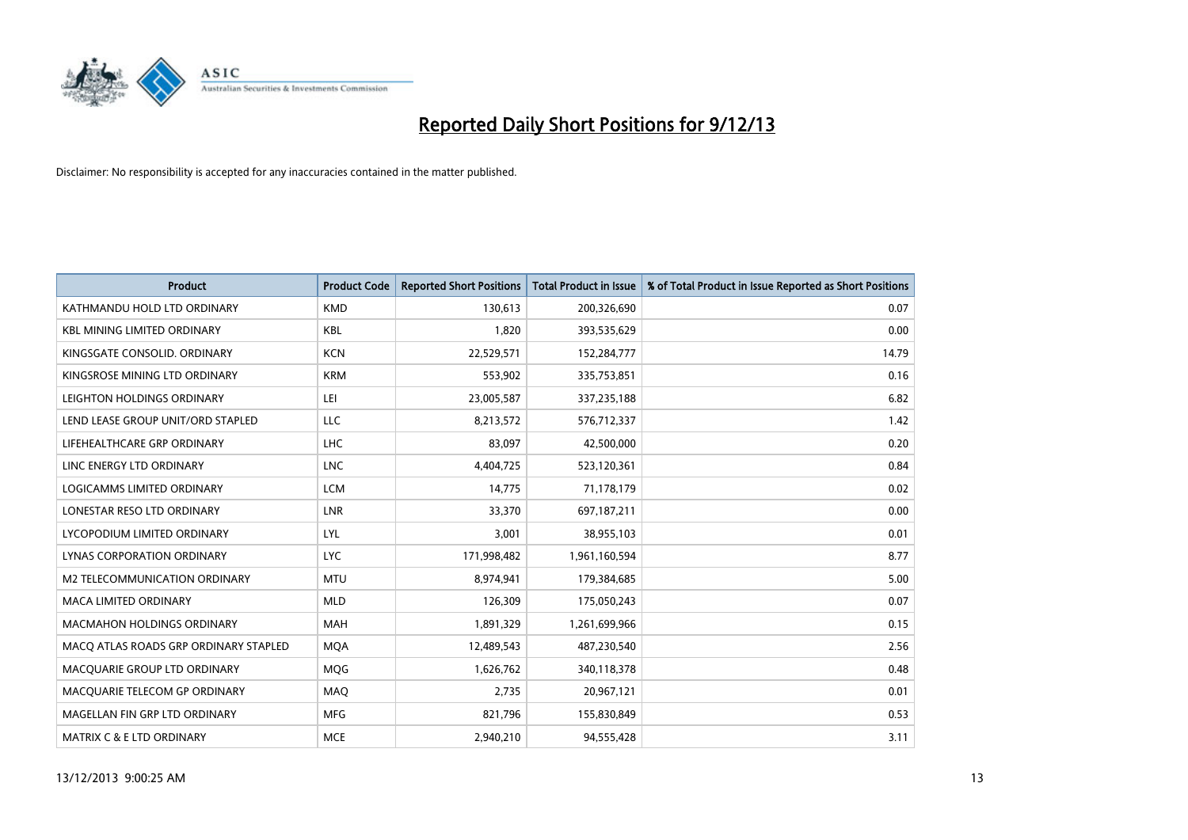

| <b>Product</b>                        | <b>Product Code</b> | <b>Reported Short Positions</b> | <b>Total Product in Issue</b> | % of Total Product in Issue Reported as Short Positions |
|---------------------------------------|---------------------|---------------------------------|-------------------------------|---------------------------------------------------------|
| KATHMANDU HOLD LTD ORDINARY           | <b>KMD</b>          | 130,613                         | 200,326,690                   | 0.07                                                    |
| <b>KBL MINING LIMITED ORDINARY</b>    | <b>KBL</b>          | 1,820                           | 393,535,629                   | 0.00                                                    |
| KINGSGATE CONSOLID. ORDINARY          | <b>KCN</b>          | 22,529,571                      | 152,284,777                   | 14.79                                                   |
| KINGSROSE MINING LTD ORDINARY         | <b>KRM</b>          | 553,902                         | 335,753,851                   | 0.16                                                    |
| LEIGHTON HOLDINGS ORDINARY            | LEI                 | 23,005,587                      | 337,235,188                   | 6.82                                                    |
| LEND LEASE GROUP UNIT/ORD STAPLED     | <b>LLC</b>          | 8,213,572                       | 576,712,337                   | 1.42                                                    |
| LIFEHEALTHCARE GRP ORDINARY           | <b>LHC</b>          | 83,097                          | 42,500,000                    | 0.20                                                    |
| LINC ENERGY LTD ORDINARY              | <b>LNC</b>          | 4,404,725                       | 523,120,361                   | 0.84                                                    |
| LOGICAMMS LIMITED ORDINARY            | <b>LCM</b>          | 14,775                          | 71,178,179                    | 0.02                                                    |
| LONESTAR RESO LTD ORDINARY            | <b>LNR</b>          | 33,370                          | 697,187,211                   | 0.00                                                    |
| LYCOPODIUM LIMITED ORDINARY           | LYL                 | 3,001                           | 38,955,103                    | 0.01                                                    |
| <b>LYNAS CORPORATION ORDINARY</b>     | <b>LYC</b>          | 171,998,482                     | 1,961,160,594                 | 8.77                                                    |
| M2 TELECOMMUNICATION ORDINARY         | <b>MTU</b>          | 8,974,941                       | 179,384,685                   | 5.00                                                    |
| <b>MACA LIMITED ORDINARY</b>          | <b>MLD</b>          | 126,309                         | 175,050,243                   | 0.07                                                    |
| <b>MACMAHON HOLDINGS ORDINARY</b>     | <b>MAH</b>          | 1,891,329                       | 1,261,699,966                 | 0.15                                                    |
| MACO ATLAS ROADS GRP ORDINARY STAPLED | <b>MOA</b>          | 12,489,543                      | 487,230,540                   | 2.56                                                    |
| MACQUARIE GROUP LTD ORDINARY          | MQG                 | 1,626,762                       | 340,118,378                   | 0.48                                                    |
| MACQUARIE TELECOM GP ORDINARY         | MAQ                 | 2,735                           | 20,967,121                    | 0.01                                                    |
| MAGELLAN FIN GRP LTD ORDINARY         | <b>MFG</b>          | 821,796                         | 155,830,849                   | 0.53                                                    |
| <b>MATRIX C &amp; E LTD ORDINARY</b>  | <b>MCE</b>          | 2,940,210                       | 94,555,428                    | 3.11                                                    |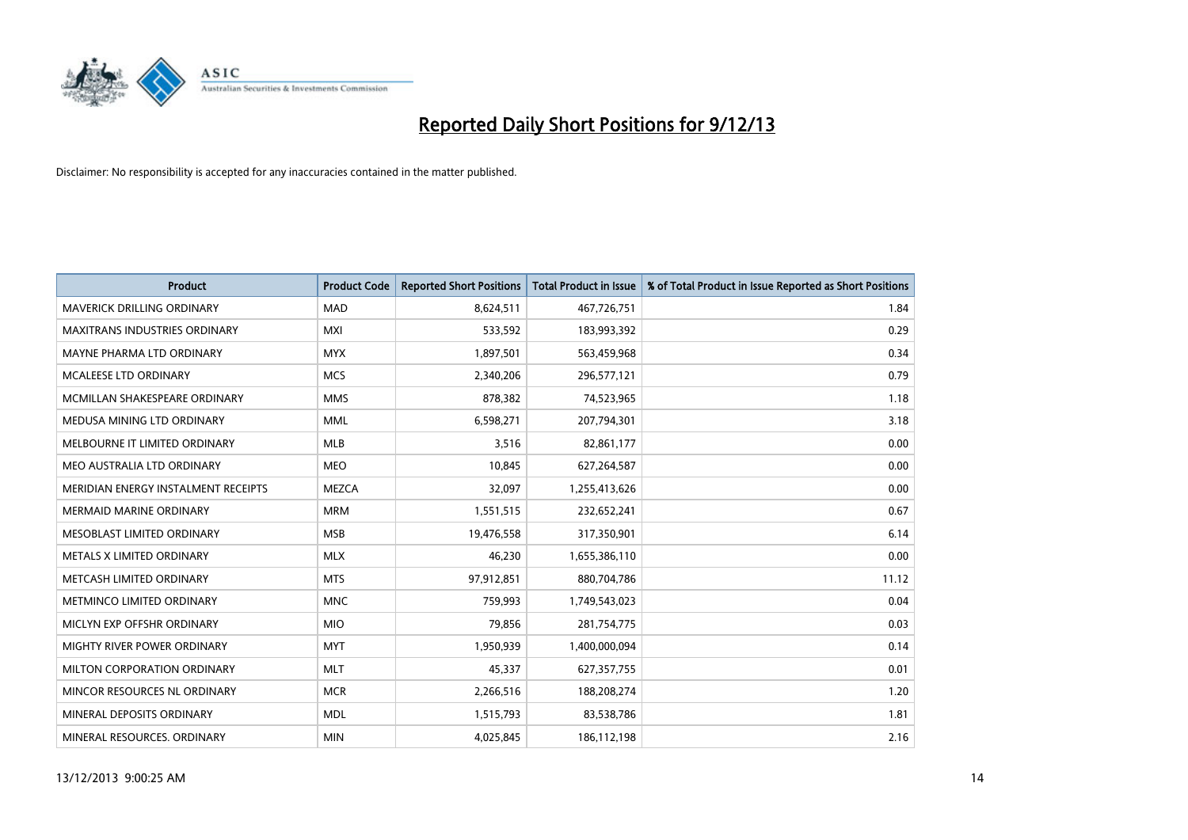

| <b>Product</b>                      | <b>Product Code</b> | <b>Reported Short Positions</b> | <b>Total Product in Issue</b> | % of Total Product in Issue Reported as Short Positions |
|-------------------------------------|---------------------|---------------------------------|-------------------------------|---------------------------------------------------------|
| <b>MAVERICK DRILLING ORDINARY</b>   | <b>MAD</b>          | 8,624,511                       | 467,726,751                   | 1.84                                                    |
| MAXITRANS INDUSTRIES ORDINARY       | <b>MXI</b>          | 533,592                         | 183,993,392                   | 0.29                                                    |
| MAYNE PHARMA LTD ORDINARY           | <b>MYX</b>          | 1,897,501                       | 563,459,968                   | 0.34                                                    |
| <b>MCALEESE LTD ORDINARY</b>        | <b>MCS</b>          | 2,340,206                       | 296,577,121                   | 0.79                                                    |
| MCMILLAN SHAKESPEARE ORDINARY       | <b>MMS</b>          | 878,382                         | 74,523,965                    | 1.18                                                    |
| MEDUSA MINING LTD ORDINARY          | <b>MML</b>          | 6,598,271                       | 207,794,301                   | 3.18                                                    |
| MELBOURNE IT LIMITED ORDINARY       | <b>MLB</b>          | 3,516                           | 82,861,177                    | 0.00                                                    |
| MEO AUSTRALIA LTD ORDINARY          | <b>MEO</b>          | 10,845                          | 627,264,587                   | 0.00                                                    |
| MERIDIAN ENERGY INSTALMENT RECEIPTS | <b>MEZCA</b>        | 32,097                          | 1,255,413,626                 | 0.00                                                    |
| <b>MERMAID MARINE ORDINARY</b>      | <b>MRM</b>          | 1,551,515                       | 232,652,241                   | 0.67                                                    |
| MESOBLAST LIMITED ORDINARY          | <b>MSB</b>          | 19,476,558                      | 317,350,901                   | 6.14                                                    |
| METALS X LIMITED ORDINARY           | <b>MLX</b>          | 46,230                          | 1,655,386,110                 | 0.00                                                    |
| METCASH LIMITED ORDINARY            | <b>MTS</b>          | 97,912,851                      | 880,704,786                   | 11.12                                                   |
| METMINCO LIMITED ORDINARY           | <b>MNC</b>          | 759,993                         | 1,749,543,023                 | 0.04                                                    |
| MICLYN EXP OFFSHR ORDINARY          | <b>MIO</b>          | 79,856                          | 281,754,775                   | 0.03                                                    |
| MIGHTY RIVER POWER ORDINARY         | <b>MYT</b>          | 1,950,939                       | 1,400,000,094                 | 0.14                                                    |
| MILTON CORPORATION ORDINARY         | <b>MLT</b>          | 45,337                          | 627,357,755                   | 0.01                                                    |
| MINCOR RESOURCES NL ORDINARY        | <b>MCR</b>          | 2,266,516                       | 188,208,274                   | 1.20                                                    |
| MINERAL DEPOSITS ORDINARY           | <b>MDL</b>          | 1,515,793                       | 83,538,786                    | 1.81                                                    |
| MINERAL RESOURCES. ORDINARY         | <b>MIN</b>          | 4,025,845                       | 186,112,198                   | 2.16                                                    |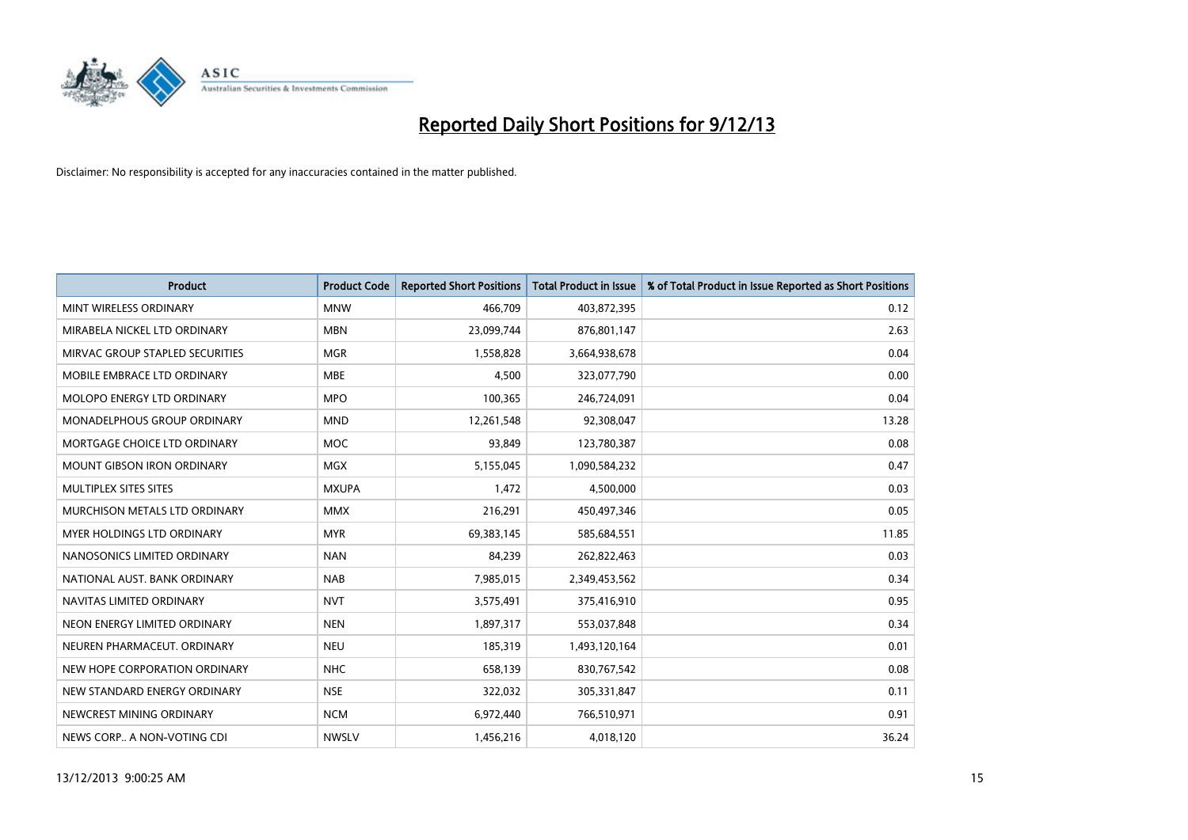

| <b>Product</b>                  | <b>Product Code</b> | <b>Reported Short Positions</b> | <b>Total Product in Issue</b> | % of Total Product in Issue Reported as Short Positions |
|---------------------------------|---------------------|---------------------------------|-------------------------------|---------------------------------------------------------|
| MINT WIRELESS ORDINARY          | <b>MNW</b>          | 466,709                         | 403,872,395                   | 0.12                                                    |
| MIRABELA NICKEL LTD ORDINARY    | <b>MBN</b>          | 23,099,744                      | 876,801,147                   | 2.63                                                    |
| MIRVAC GROUP STAPLED SECURITIES | <b>MGR</b>          | 1,558,828                       | 3,664,938,678                 | 0.04                                                    |
| MOBILE EMBRACE LTD ORDINARY     | <b>MBE</b>          | 4,500                           | 323,077,790                   | 0.00                                                    |
| MOLOPO ENERGY LTD ORDINARY      | <b>MPO</b>          | 100,365                         | 246,724,091                   | 0.04                                                    |
| MONADELPHOUS GROUP ORDINARY     | <b>MND</b>          | 12,261,548                      | 92,308,047                    | 13.28                                                   |
| MORTGAGE CHOICE LTD ORDINARY    | MOC                 | 93,849                          | 123,780,387                   | 0.08                                                    |
| MOUNT GIBSON IRON ORDINARY      | <b>MGX</b>          | 5,155,045                       | 1,090,584,232                 | 0.47                                                    |
| MULTIPLEX SITES SITES           | <b>MXUPA</b>        | 1,472                           | 4,500,000                     | 0.03                                                    |
| MURCHISON METALS LTD ORDINARY   | <b>MMX</b>          | 216,291                         | 450,497,346                   | 0.05                                                    |
| MYER HOLDINGS LTD ORDINARY      | <b>MYR</b>          | 69,383,145                      | 585,684,551                   | 11.85                                                   |
| NANOSONICS LIMITED ORDINARY     | <b>NAN</b>          | 84,239                          | 262,822,463                   | 0.03                                                    |
| NATIONAL AUST, BANK ORDINARY    | <b>NAB</b>          | 7,985,015                       | 2,349,453,562                 | 0.34                                                    |
| NAVITAS LIMITED ORDINARY        | <b>NVT</b>          | 3,575,491                       | 375,416,910                   | 0.95                                                    |
| NEON ENERGY LIMITED ORDINARY    | <b>NEN</b>          | 1,897,317                       | 553,037,848                   | 0.34                                                    |
| NEUREN PHARMACEUT. ORDINARY     | <b>NEU</b>          | 185,319                         | 1,493,120,164                 | 0.01                                                    |
| NEW HOPE CORPORATION ORDINARY   | <b>NHC</b>          | 658,139                         | 830,767,542                   | 0.08                                                    |
| NEW STANDARD ENERGY ORDINARY    | <b>NSE</b>          | 322,032                         | 305,331,847                   | 0.11                                                    |
| NEWCREST MINING ORDINARY        | <b>NCM</b>          | 6,972,440                       | 766,510,971                   | 0.91                                                    |
| NEWS CORP A NON-VOTING CDI      | <b>NWSLV</b>        | 1,456,216                       | 4,018,120                     | 36.24                                                   |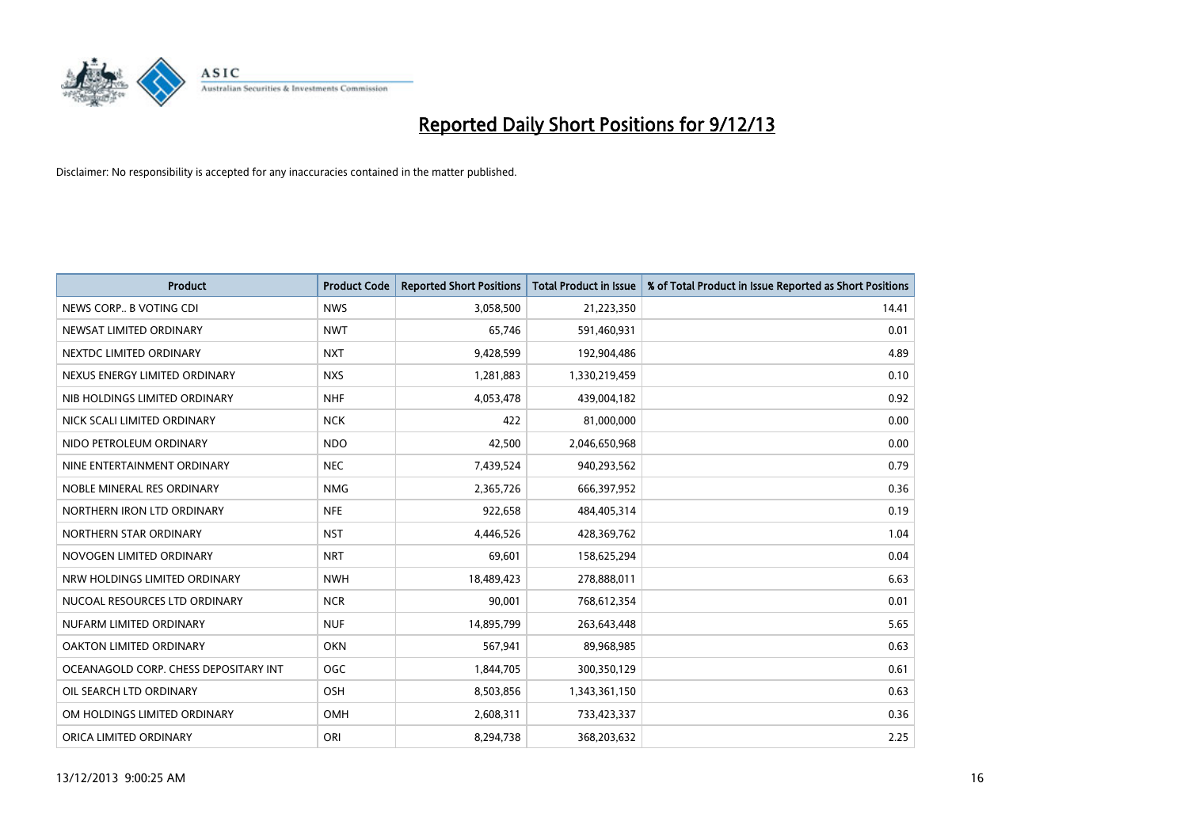

| <b>Product</b>                        | <b>Product Code</b> | <b>Reported Short Positions</b> | <b>Total Product in Issue</b> | % of Total Product in Issue Reported as Short Positions |
|---------------------------------------|---------------------|---------------------------------|-------------------------------|---------------------------------------------------------|
| NEWS CORP B VOTING CDI                | <b>NWS</b>          | 3,058,500                       | 21,223,350                    | 14.41                                                   |
| NEWSAT LIMITED ORDINARY               | <b>NWT</b>          | 65.746                          | 591,460,931                   | 0.01                                                    |
| NEXTDC LIMITED ORDINARY               | <b>NXT</b>          | 9,428,599                       | 192,904,486                   | 4.89                                                    |
| NEXUS ENERGY LIMITED ORDINARY         | <b>NXS</b>          | 1,281,883                       | 1,330,219,459                 | 0.10                                                    |
| NIB HOLDINGS LIMITED ORDINARY         | <b>NHF</b>          | 4,053,478                       | 439,004,182                   | 0.92                                                    |
| NICK SCALI LIMITED ORDINARY           | <b>NCK</b>          | 422                             | 81,000,000                    | 0.00                                                    |
| NIDO PETROLEUM ORDINARY               | <b>NDO</b>          | 42,500                          | 2,046,650,968                 | 0.00                                                    |
| NINE ENTERTAINMENT ORDINARY           | <b>NEC</b>          | 7,439,524                       | 940,293,562                   | 0.79                                                    |
| NOBLE MINERAL RES ORDINARY            | <b>NMG</b>          | 2,365,726                       | 666,397,952                   | 0.36                                                    |
| NORTHERN IRON LTD ORDINARY            | <b>NFE</b>          | 922,658                         | 484,405,314                   | 0.19                                                    |
| NORTHERN STAR ORDINARY                | <b>NST</b>          | 4,446,526                       | 428,369,762                   | 1.04                                                    |
| NOVOGEN LIMITED ORDINARY              | <b>NRT</b>          | 69,601                          | 158,625,294                   | 0.04                                                    |
| NRW HOLDINGS LIMITED ORDINARY         | <b>NWH</b>          | 18,489,423                      | 278,888,011                   | 6.63                                                    |
| NUCOAL RESOURCES LTD ORDINARY         | <b>NCR</b>          | 90,001                          | 768,612,354                   | 0.01                                                    |
| NUFARM LIMITED ORDINARY               | <b>NUF</b>          | 14,895,799                      | 263,643,448                   | 5.65                                                    |
| OAKTON LIMITED ORDINARY               | <b>OKN</b>          | 567,941                         | 89,968,985                    | 0.63                                                    |
| OCEANAGOLD CORP. CHESS DEPOSITARY INT | <b>OGC</b>          | 1,844,705                       | 300,350,129                   | 0.61                                                    |
| OIL SEARCH LTD ORDINARY               | OSH                 | 8,503,856                       | 1,343,361,150                 | 0.63                                                    |
| OM HOLDINGS LIMITED ORDINARY          | <b>OMH</b>          | 2,608,311                       | 733,423,337                   | 0.36                                                    |
| ORICA LIMITED ORDINARY                | ORI                 | 8,294,738                       | 368,203,632                   | 2.25                                                    |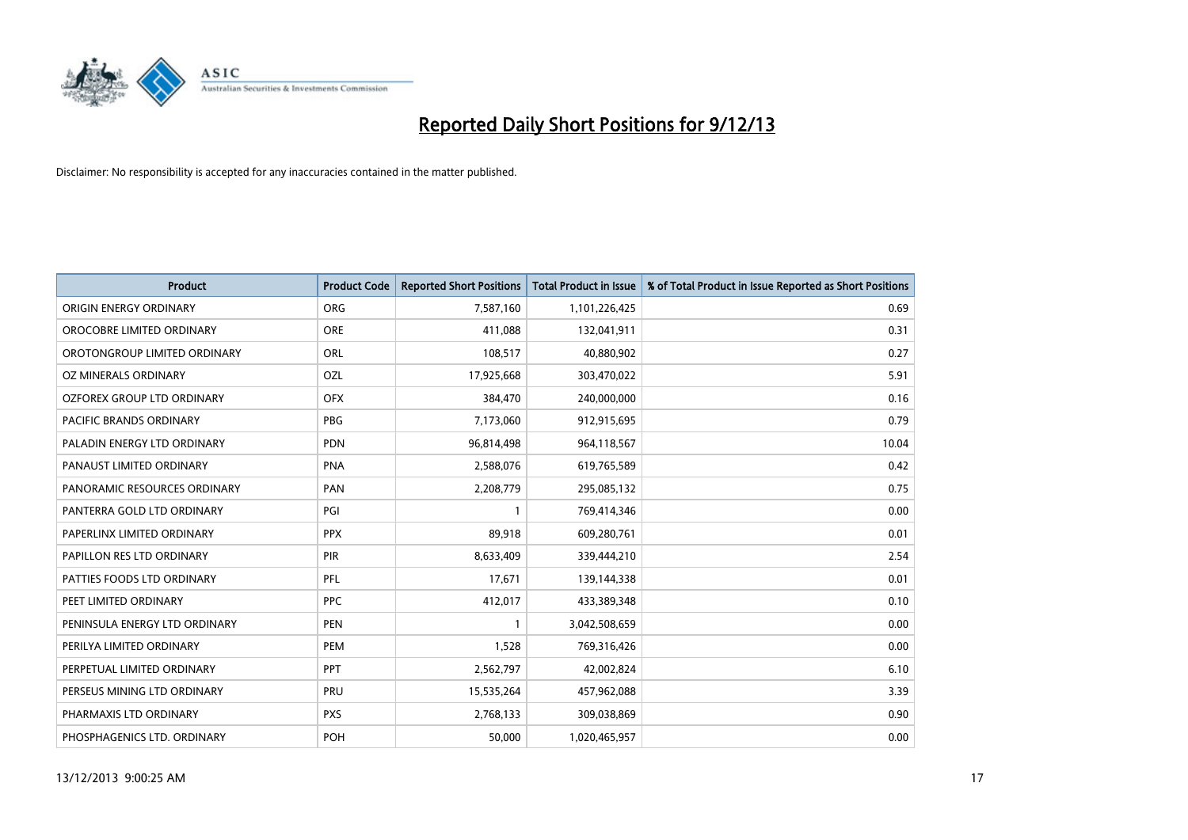

| <b>Product</b>                    | <b>Product Code</b> | <b>Reported Short Positions</b> | <b>Total Product in Issue</b> | % of Total Product in Issue Reported as Short Positions |
|-----------------------------------|---------------------|---------------------------------|-------------------------------|---------------------------------------------------------|
| ORIGIN ENERGY ORDINARY            | <b>ORG</b>          | 7,587,160                       | 1,101,226,425                 | 0.69                                                    |
| OROCOBRE LIMITED ORDINARY         | <b>ORE</b>          | 411,088                         | 132,041,911                   | 0.31                                                    |
| OROTONGROUP LIMITED ORDINARY      | ORL                 | 108,517                         | 40,880,902                    | 0.27                                                    |
| OZ MINERALS ORDINARY              | OZL                 | 17,925,668                      | 303,470,022                   | 5.91                                                    |
| <b>OZFOREX GROUP LTD ORDINARY</b> | <b>OFX</b>          | 384,470                         | 240,000,000                   | 0.16                                                    |
| PACIFIC BRANDS ORDINARY           | <b>PBG</b>          | 7,173,060                       | 912,915,695                   | 0.79                                                    |
| PALADIN ENERGY LTD ORDINARY       | <b>PDN</b>          | 96,814,498                      | 964,118,567                   | 10.04                                                   |
| PANAUST LIMITED ORDINARY          | <b>PNA</b>          | 2,588,076                       | 619,765,589                   | 0.42                                                    |
| PANORAMIC RESOURCES ORDINARY      | <b>PAN</b>          | 2,208,779                       | 295,085,132                   | 0.75                                                    |
| PANTERRA GOLD LTD ORDINARY        | PGI                 | $\mathbf{1}$                    | 769,414,346                   | 0.00                                                    |
| PAPERLINX LIMITED ORDINARY        | <b>PPX</b>          | 89,918                          | 609,280,761                   | 0.01                                                    |
| PAPILLON RES LTD ORDINARY         | <b>PIR</b>          | 8,633,409                       | 339,444,210                   | 2.54                                                    |
| PATTIES FOODS LTD ORDINARY        | PFL                 | 17,671                          | 139,144,338                   | 0.01                                                    |
| PEET LIMITED ORDINARY             | <b>PPC</b>          | 412,017                         | 433,389,348                   | 0.10                                                    |
| PENINSULA ENERGY LTD ORDINARY     | <b>PEN</b>          | $\mathbf{1}$                    | 3,042,508,659                 | 0.00                                                    |
| PERILYA LIMITED ORDINARY          | PEM                 | 1,528                           | 769,316,426                   | 0.00                                                    |
| PERPETUAL LIMITED ORDINARY        | <b>PPT</b>          | 2,562,797                       | 42,002,824                    | 6.10                                                    |
| PERSEUS MINING LTD ORDINARY       | PRU                 | 15,535,264                      | 457,962,088                   | 3.39                                                    |
| PHARMAXIS LTD ORDINARY            | <b>PXS</b>          | 2,768,133                       | 309,038,869                   | 0.90                                                    |
| PHOSPHAGENICS LTD. ORDINARY       | <b>POH</b>          | 50,000                          | 1,020,465,957                 | 0.00                                                    |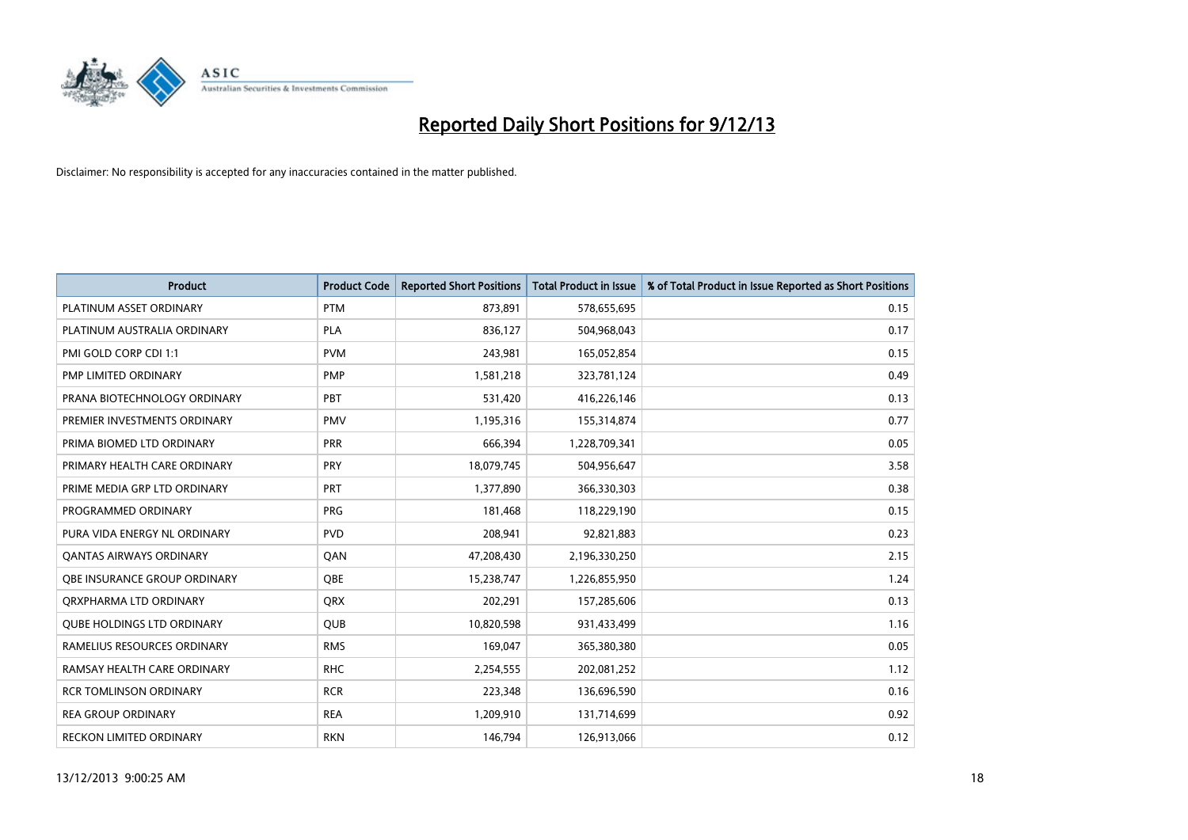

| <b>Product</b>                      | <b>Product Code</b> | <b>Reported Short Positions</b> | <b>Total Product in Issue</b> | % of Total Product in Issue Reported as Short Positions |
|-------------------------------------|---------------------|---------------------------------|-------------------------------|---------------------------------------------------------|
| PLATINUM ASSET ORDINARY             | <b>PTM</b>          | 873,891                         | 578,655,695                   | 0.15                                                    |
| PLATINUM AUSTRALIA ORDINARY         | <b>PLA</b>          | 836,127                         | 504,968,043                   | 0.17                                                    |
| PMI GOLD CORP CDI 1:1               | <b>PVM</b>          | 243,981                         | 165,052,854                   | 0.15                                                    |
| PMP LIMITED ORDINARY                | <b>PMP</b>          | 1,581,218                       | 323,781,124                   | 0.49                                                    |
| PRANA BIOTECHNOLOGY ORDINARY        | PBT                 | 531,420                         | 416,226,146                   | 0.13                                                    |
| PREMIER INVESTMENTS ORDINARY        | <b>PMV</b>          | 1,195,316                       | 155,314,874                   | 0.77                                                    |
| PRIMA BIOMED LTD ORDINARY           | <b>PRR</b>          | 666,394                         | 1,228,709,341                 | 0.05                                                    |
| PRIMARY HEALTH CARE ORDINARY        | <b>PRY</b>          | 18,079,745                      | 504,956,647                   | 3.58                                                    |
| PRIME MEDIA GRP LTD ORDINARY        | <b>PRT</b>          | 1,377,890                       | 366,330,303                   | 0.38                                                    |
| PROGRAMMED ORDINARY                 | <b>PRG</b>          | 181,468                         | 118,229,190                   | 0.15                                                    |
| PURA VIDA ENERGY NL ORDINARY        | <b>PVD</b>          | 208,941                         | 92,821,883                    | 0.23                                                    |
| <b>QANTAS AIRWAYS ORDINARY</b>      | QAN                 | 47,208,430                      | 2,196,330,250                 | 2.15                                                    |
| <b>OBE INSURANCE GROUP ORDINARY</b> | <b>OBE</b>          | 15,238,747                      | 1,226,855,950                 | 1.24                                                    |
| ORXPHARMA LTD ORDINARY              | QRX                 | 202,291                         | 157,285,606                   | 0.13                                                    |
| <b>QUBE HOLDINGS LTD ORDINARY</b>   | QUB                 | 10,820,598                      | 931,433,499                   | 1.16                                                    |
| RAMELIUS RESOURCES ORDINARY         | <b>RMS</b>          | 169,047                         | 365,380,380                   | 0.05                                                    |
| RAMSAY HEALTH CARE ORDINARY         | <b>RHC</b>          | 2,254,555                       | 202,081,252                   | 1.12                                                    |
| <b>RCR TOMLINSON ORDINARY</b>       | <b>RCR</b>          | 223,348                         | 136,696,590                   | 0.16                                                    |
| <b>REA GROUP ORDINARY</b>           | <b>REA</b>          | 1,209,910                       | 131,714,699                   | 0.92                                                    |
| RECKON LIMITED ORDINARY             | <b>RKN</b>          | 146,794                         | 126,913,066                   | 0.12                                                    |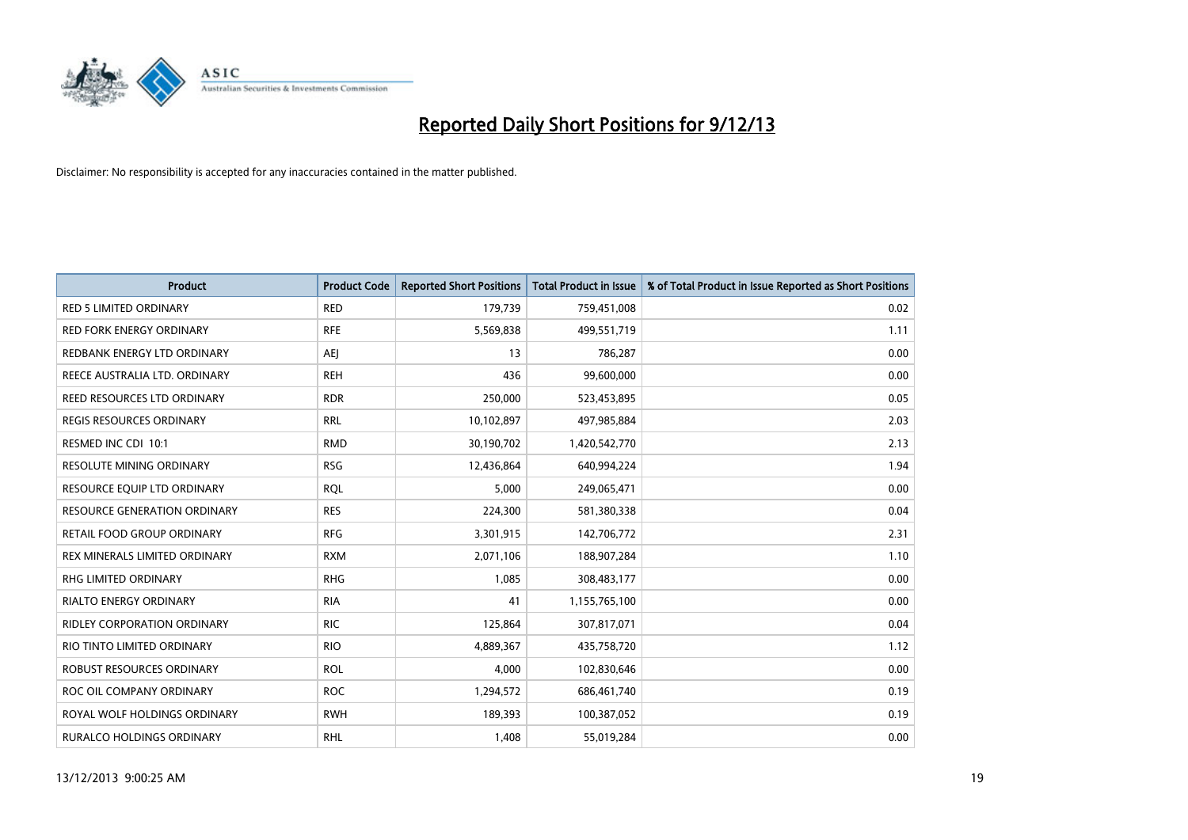

| <b>Product</b>                      | <b>Product Code</b> | <b>Reported Short Positions</b> | <b>Total Product in Issue</b> | % of Total Product in Issue Reported as Short Positions |
|-------------------------------------|---------------------|---------------------------------|-------------------------------|---------------------------------------------------------|
| <b>RED 5 LIMITED ORDINARY</b>       | <b>RED</b>          | 179,739                         | 759,451,008                   | 0.02                                                    |
| <b>RED FORK ENERGY ORDINARY</b>     | <b>RFE</b>          | 5,569,838                       | 499,551,719                   | 1.11                                                    |
| REDBANK ENERGY LTD ORDINARY         | AEJ                 | 13                              | 786,287                       | 0.00                                                    |
| REECE AUSTRALIA LTD. ORDINARY       | <b>REH</b>          | 436                             | 99,600,000                    | 0.00                                                    |
| REED RESOURCES LTD ORDINARY         | <b>RDR</b>          | 250,000                         | 523,453,895                   | 0.05                                                    |
| <b>REGIS RESOURCES ORDINARY</b>     | <b>RRL</b>          | 10,102,897                      | 497,985,884                   | 2.03                                                    |
| RESMED INC CDI 10:1                 | <b>RMD</b>          | 30,190,702                      | 1,420,542,770                 | 2.13                                                    |
| RESOLUTE MINING ORDINARY            | <b>RSG</b>          | 12,436,864                      | 640,994,224                   | 1.94                                                    |
| RESOURCE EQUIP LTD ORDINARY         | <b>RQL</b>          | 5,000                           | 249,065,471                   | 0.00                                                    |
| <b>RESOURCE GENERATION ORDINARY</b> | <b>RES</b>          | 224,300                         | 581,380,338                   | 0.04                                                    |
| RETAIL FOOD GROUP ORDINARY          | <b>RFG</b>          | 3,301,915                       | 142,706,772                   | 2.31                                                    |
| REX MINERALS LIMITED ORDINARY       | <b>RXM</b>          | 2,071,106                       | 188,907,284                   | 1.10                                                    |
| RHG LIMITED ORDINARY                | <b>RHG</b>          | 1,085                           | 308,483,177                   | 0.00                                                    |
| <b>RIALTO ENERGY ORDINARY</b>       | <b>RIA</b>          | 41                              | 1,155,765,100                 | 0.00                                                    |
| <b>RIDLEY CORPORATION ORDINARY</b>  | <b>RIC</b>          | 125,864                         | 307,817,071                   | 0.04                                                    |
| RIO TINTO LIMITED ORDINARY          | <b>RIO</b>          | 4,889,367                       | 435,758,720                   | 1.12                                                    |
| ROBUST RESOURCES ORDINARY           | <b>ROL</b>          | 4,000                           | 102,830,646                   | 0.00                                                    |
| ROC OIL COMPANY ORDINARY            | <b>ROC</b>          | 1,294,572                       | 686,461,740                   | 0.19                                                    |
| ROYAL WOLF HOLDINGS ORDINARY        | <b>RWH</b>          | 189,393                         | 100,387,052                   | 0.19                                                    |
| RURALCO HOLDINGS ORDINARY           | <b>RHL</b>          | 1,408                           | 55,019,284                    | 0.00                                                    |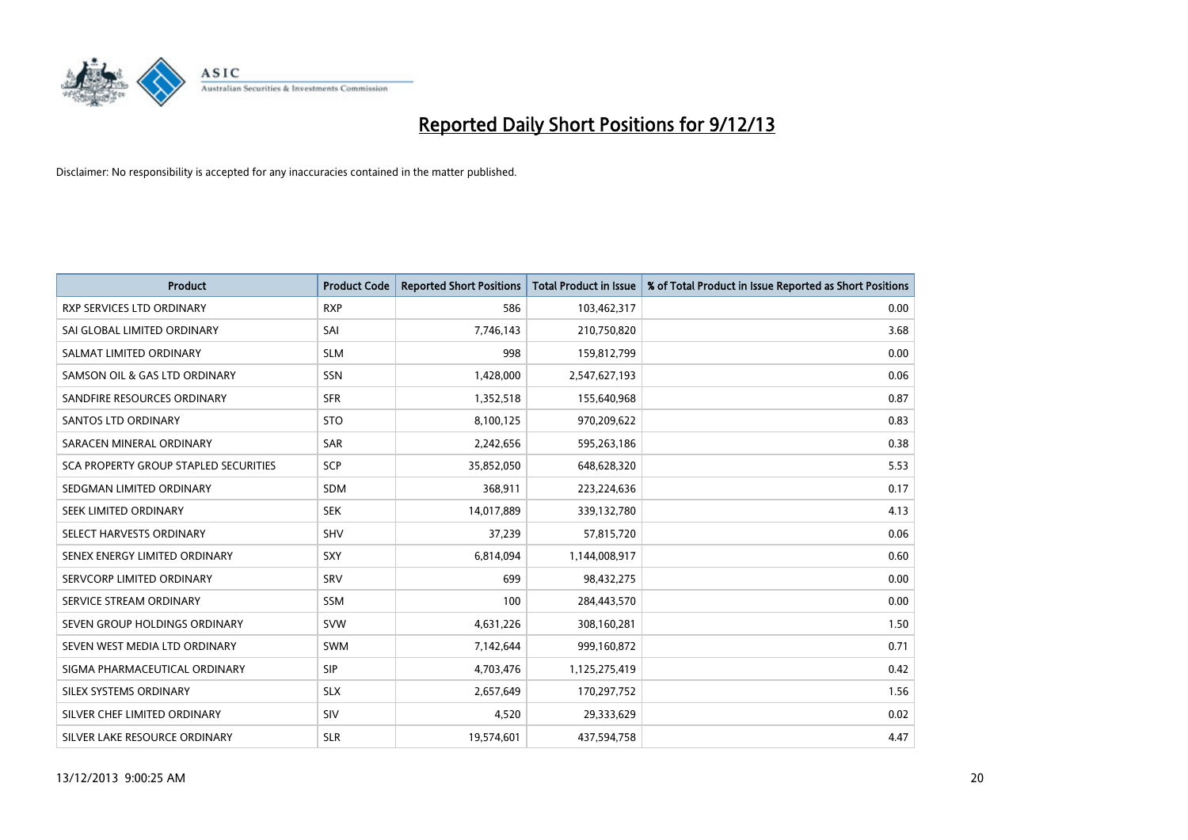

| <b>Product</b>                        | <b>Product Code</b> | <b>Reported Short Positions</b> | <b>Total Product in Issue</b> | % of Total Product in Issue Reported as Short Positions |
|---------------------------------------|---------------------|---------------------------------|-------------------------------|---------------------------------------------------------|
| <b>RXP SERVICES LTD ORDINARY</b>      | <b>RXP</b>          | 586                             | 103,462,317                   | 0.00                                                    |
| SAI GLOBAL LIMITED ORDINARY           | SAI                 | 7,746,143                       | 210,750,820                   | 3.68                                                    |
| SALMAT LIMITED ORDINARY               | <b>SLM</b>          | 998                             | 159,812,799                   | 0.00                                                    |
| SAMSON OIL & GAS LTD ORDINARY         | SSN                 | 1,428,000                       | 2,547,627,193                 | 0.06                                                    |
| SANDFIRE RESOURCES ORDINARY           | <b>SFR</b>          | 1,352,518                       | 155,640,968                   | 0.87                                                    |
| SANTOS LTD ORDINARY                   | <b>STO</b>          | 8,100,125                       | 970,209,622                   | 0.83                                                    |
| SARACEN MINERAL ORDINARY              | <b>SAR</b>          | 2,242,656                       | 595,263,186                   | 0.38                                                    |
| SCA PROPERTY GROUP STAPLED SECURITIES | <b>SCP</b>          | 35,852,050                      | 648,628,320                   | 5.53                                                    |
| SEDGMAN LIMITED ORDINARY              | <b>SDM</b>          | 368,911                         | 223,224,636                   | 0.17                                                    |
| SEEK LIMITED ORDINARY                 | <b>SEK</b>          | 14,017,889                      | 339,132,780                   | 4.13                                                    |
| SELECT HARVESTS ORDINARY              | SHV                 | 37,239                          | 57,815,720                    | 0.06                                                    |
| SENEX ENERGY LIMITED ORDINARY         | <b>SXY</b>          | 6,814,094                       | 1,144,008,917                 | 0.60                                                    |
| SERVCORP LIMITED ORDINARY             | SRV                 | 699                             | 98,432,275                    | 0.00                                                    |
| SERVICE STREAM ORDINARY               | SSM                 | 100                             | 284,443,570                   | 0.00                                                    |
| SEVEN GROUP HOLDINGS ORDINARY         | <b>SVW</b>          | 4,631,226                       | 308,160,281                   | 1.50                                                    |
| SEVEN WEST MEDIA LTD ORDINARY         | SWM                 | 7,142,644                       | 999,160,872                   | 0.71                                                    |
| SIGMA PHARMACEUTICAL ORDINARY         | <b>SIP</b>          | 4,703,476                       | 1,125,275,419                 | 0.42                                                    |
| SILEX SYSTEMS ORDINARY                | <b>SLX</b>          | 2,657,649                       | 170,297,752                   | 1.56                                                    |
| SILVER CHEF LIMITED ORDINARY          | SIV                 | 4,520                           | 29,333,629                    | 0.02                                                    |
| SILVER LAKE RESOURCE ORDINARY         | <b>SLR</b>          | 19,574,601                      | 437,594,758                   | 4.47                                                    |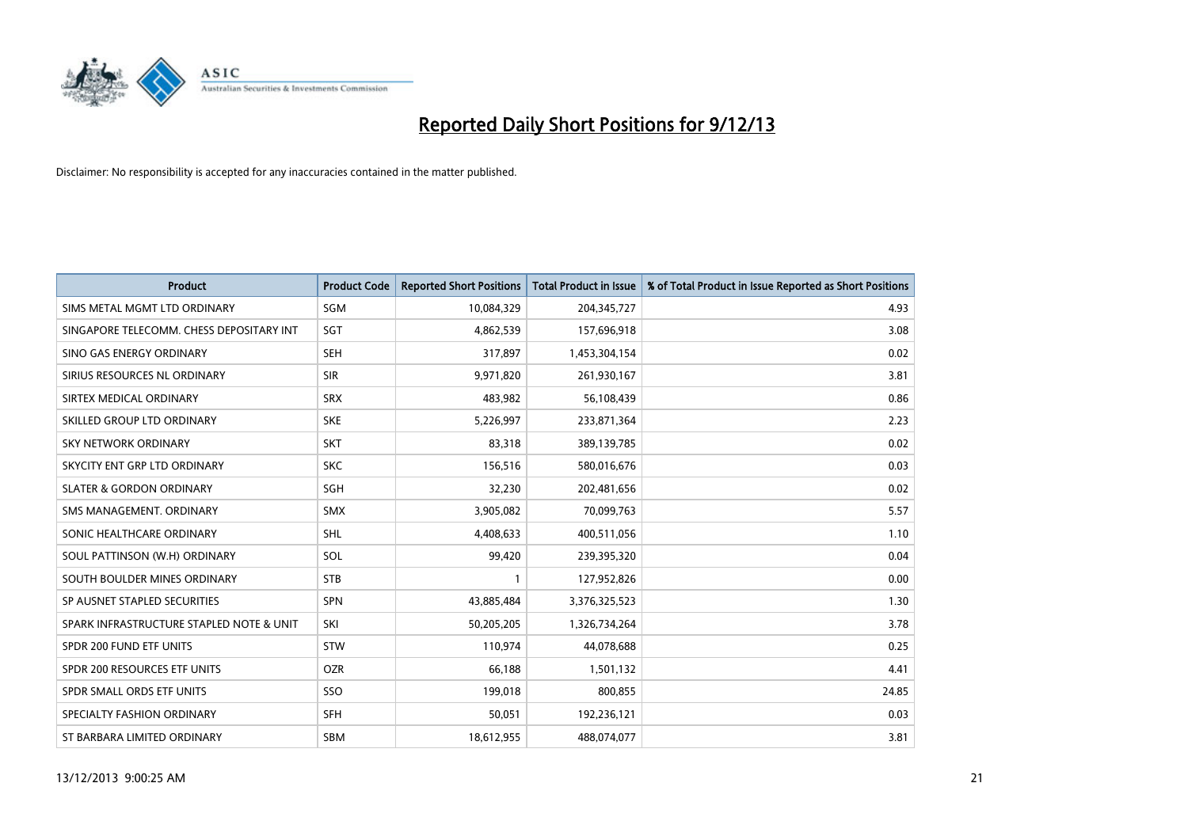

| <b>Product</b>                           | <b>Product Code</b> | <b>Reported Short Positions</b> | <b>Total Product in Issue</b> | % of Total Product in Issue Reported as Short Positions |
|------------------------------------------|---------------------|---------------------------------|-------------------------------|---------------------------------------------------------|
| SIMS METAL MGMT LTD ORDINARY             | SGM                 | 10,084,329                      | 204,345,727                   | 4.93                                                    |
| SINGAPORE TELECOMM. CHESS DEPOSITARY INT | SGT                 | 4,862,539                       | 157,696,918                   | 3.08                                                    |
| SINO GAS ENERGY ORDINARY                 | <b>SEH</b>          | 317,897                         | 1,453,304,154                 | 0.02                                                    |
| SIRIUS RESOURCES NL ORDINARY             | <b>SIR</b>          | 9,971,820                       | 261,930,167                   | 3.81                                                    |
| SIRTEX MEDICAL ORDINARY                  | <b>SRX</b>          | 483,982                         | 56,108,439                    | 0.86                                                    |
| SKILLED GROUP LTD ORDINARY               | <b>SKE</b>          | 5,226,997                       | 233,871,364                   | 2.23                                                    |
| <b>SKY NETWORK ORDINARY</b>              | <b>SKT</b>          | 83,318                          | 389,139,785                   | 0.02                                                    |
| SKYCITY ENT GRP LTD ORDINARY             | <b>SKC</b>          | 156,516                         | 580,016,676                   | 0.03                                                    |
| <b>SLATER &amp; GORDON ORDINARY</b>      | SGH                 | 32,230                          | 202,481,656                   | 0.02                                                    |
| SMS MANAGEMENT, ORDINARY                 | <b>SMX</b>          | 3,905,082                       | 70,099,763                    | 5.57                                                    |
| SONIC HEALTHCARE ORDINARY                | SHL                 | 4,408,633                       | 400,511,056                   | 1.10                                                    |
| SOUL PATTINSON (W.H) ORDINARY            | SOL                 | 99,420                          | 239,395,320                   | 0.04                                                    |
| SOUTH BOULDER MINES ORDINARY             | <b>STB</b>          | 1                               | 127,952,826                   | 0.00                                                    |
| SP AUSNET STAPLED SECURITIES             | SPN                 | 43,885,484                      | 3,376,325,523                 | 1.30                                                    |
| SPARK INFRASTRUCTURE STAPLED NOTE & UNIT | SKI                 | 50,205,205                      | 1,326,734,264                 | 3.78                                                    |
| SPDR 200 FUND ETF UNITS                  | <b>STW</b>          | 110,974                         | 44,078,688                    | 0.25                                                    |
| SPDR 200 RESOURCES ETF UNITS             | <b>OZR</b>          | 66,188                          | 1,501,132                     | 4.41                                                    |
| SPDR SMALL ORDS ETF UNITS                | <b>SSO</b>          | 199,018                         | 800,855                       | 24.85                                                   |
| SPECIALTY FASHION ORDINARY               | <b>SFH</b>          | 50,051                          | 192,236,121                   | 0.03                                                    |
| ST BARBARA LIMITED ORDINARY              | <b>SBM</b>          | 18,612,955                      | 488,074,077                   | 3.81                                                    |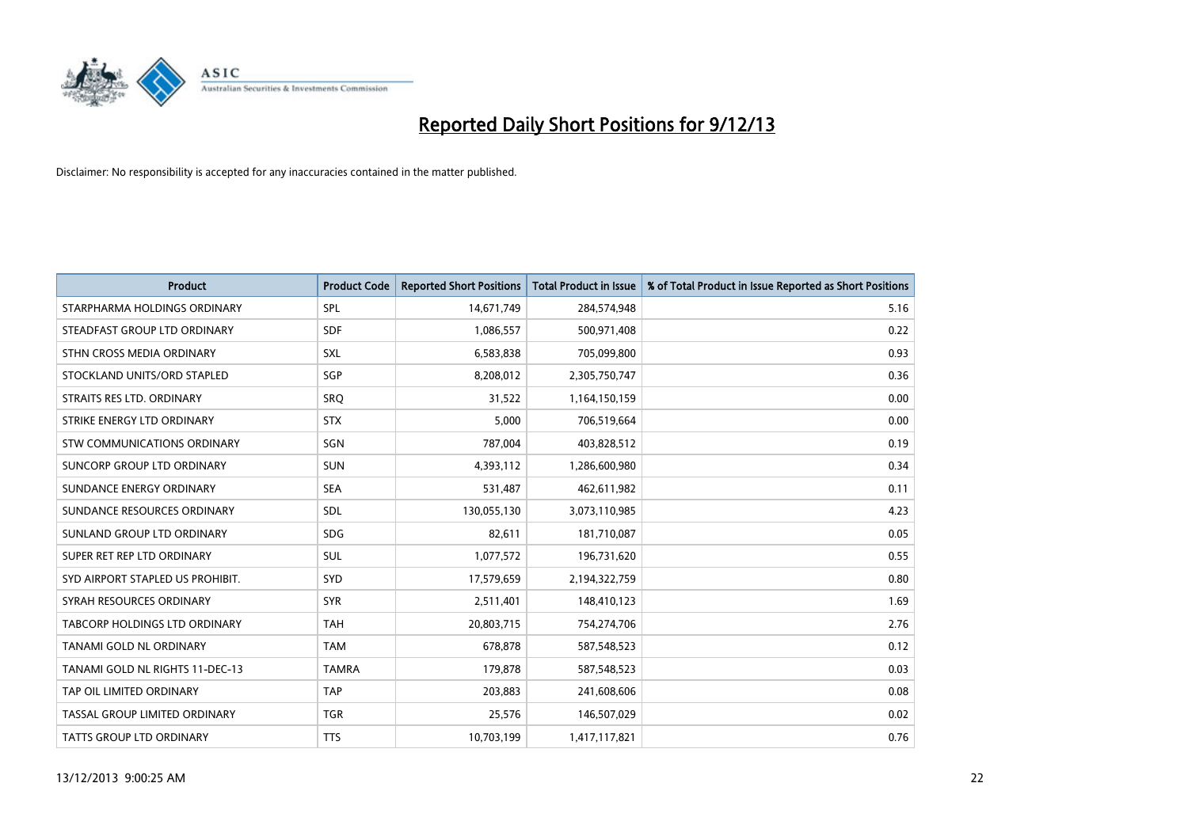

| <b>Product</b>                   | <b>Product Code</b> | <b>Reported Short Positions</b> | <b>Total Product in Issue</b> | % of Total Product in Issue Reported as Short Positions |
|----------------------------------|---------------------|---------------------------------|-------------------------------|---------------------------------------------------------|
| STARPHARMA HOLDINGS ORDINARY     | <b>SPL</b>          | 14,671,749                      | 284,574,948                   | 5.16                                                    |
| STEADFAST GROUP LTD ORDINARY     | <b>SDF</b>          | 1,086,557                       | 500,971,408                   | 0.22                                                    |
| STHN CROSS MEDIA ORDINARY        | <b>SXL</b>          | 6,583,838                       | 705,099,800                   | 0.93                                                    |
| STOCKLAND UNITS/ORD STAPLED      | SGP                 | 8,208,012                       | 2,305,750,747                 | 0.36                                                    |
| STRAITS RES LTD. ORDINARY        | SRO                 | 31,522                          | 1,164,150,159                 | 0.00                                                    |
| STRIKE ENERGY LTD ORDINARY       | <b>STX</b>          | 5,000                           | 706,519,664                   | 0.00                                                    |
| STW COMMUNICATIONS ORDINARY      | <b>SGN</b>          | 787,004                         | 403,828,512                   | 0.19                                                    |
| SUNCORP GROUP LTD ORDINARY       | <b>SUN</b>          | 4,393,112                       | 1,286,600,980                 | 0.34                                                    |
| SUNDANCE ENERGY ORDINARY         | <b>SEA</b>          | 531,487                         | 462,611,982                   | 0.11                                                    |
| SUNDANCE RESOURCES ORDINARY      | <b>SDL</b>          | 130,055,130                     | 3,073,110,985                 | 4.23                                                    |
| SUNLAND GROUP LTD ORDINARY       | <b>SDG</b>          | 82,611                          | 181,710,087                   | 0.05                                                    |
| SUPER RET REP LTD ORDINARY       | <b>SUL</b>          | 1,077,572                       | 196,731,620                   | 0.55                                                    |
| SYD AIRPORT STAPLED US PROHIBIT. | <b>SYD</b>          | 17,579,659                      | 2,194,322,759                 | 0.80                                                    |
| SYRAH RESOURCES ORDINARY         | <b>SYR</b>          | 2,511,401                       | 148,410,123                   | 1.69                                                    |
| TABCORP HOLDINGS LTD ORDINARY    | <b>TAH</b>          | 20,803,715                      | 754,274,706                   | 2.76                                                    |
| TANAMI GOLD NL ORDINARY          | <b>TAM</b>          | 678,878                         | 587,548,523                   | 0.12                                                    |
| TANAMI GOLD NL RIGHTS 11-DEC-13  | <b>TAMRA</b>        | 179,878                         | 587,548,523                   | 0.03                                                    |
| TAP OIL LIMITED ORDINARY         | <b>TAP</b>          | 203,883                         | 241,608,606                   | 0.08                                                    |
| TASSAL GROUP LIMITED ORDINARY    | <b>TGR</b>          | 25,576                          | 146,507,029                   | 0.02                                                    |
| TATTS GROUP LTD ORDINARY         | <b>TTS</b>          | 10,703,199                      | 1,417,117,821                 | 0.76                                                    |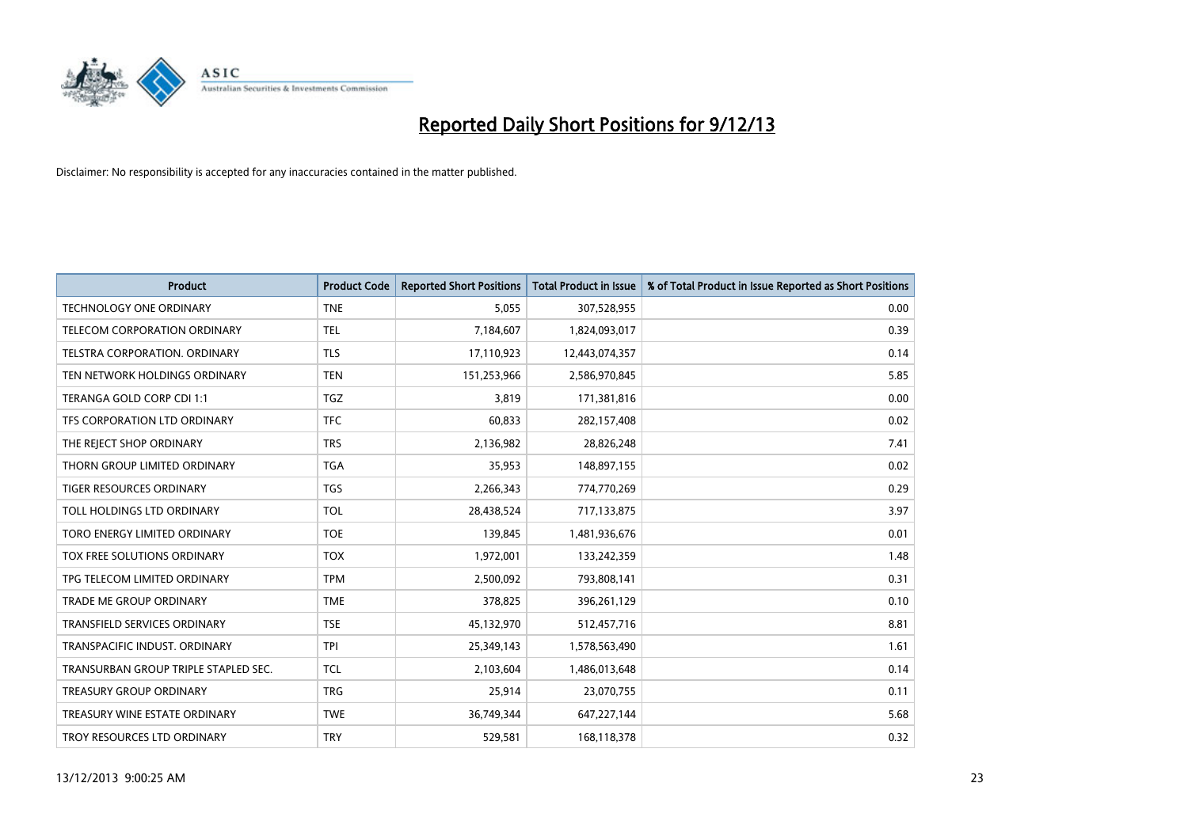

| <b>Product</b>                       | <b>Product Code</b> | <b>Reported Short Positions</b> | <b>Total Product in Issue</b> | % of Total Product in Issue Reported as Short Positions |
|--------------------------------------|---------------------|---------------------------------|-------------------------------|---------------------------------------------------------|
| <b>TECHNOLOGY ONE ORDINARY</b>       | <b>TNE</b>          | 5,055                           | 307,528,955                   | 0.00                                                    |
| TELECOM CORPORATION ORDINARY         | <b>TEL</b>          | 7,184,607                       | 1,824,093,017                 | 0.39                                                    |
| TELSTRA CORPORATION. ORDINARY        | <b>TLS</b>          | 17,110,923                      | 12,443,074,357                | 0.14                                                    |
| TEN NETWORK HOLDINGS ORDINARY        | <b>TEN</b>          | 151,253,966                     | 2,586,970,845                 | 5.85                                                    |
| TERANGA GOLD CORP CDI 1:1            | <b>TGZ</b>          | 3,819                           | 171,381,816                   | 0.00                                                    |
| TFS CORPORATION LTD ORDINARY         | <b>TFC</b>          | 60,833                          | 282,157,408                   | 0.02                                                    |
| THE REJECT SHOP ORDINARY             | <b>TRS</b>          | 2,136,982                       | 28,826,248                    | 7.41                                                    |
| THORN GROUP LIMITED ORDINARY         | <b>TGA</b>          | 35,953                          | 148,897,155                   | 0.02                                                    |
| <b>TIGER RESOURCES ORDINARY</b>      | <b>TGS</b>          | 2,266,343                       | 774,770,269                   | 0.29                                                    |
| TOLL HOLDINGS LTD ORDINARY           | <b>TOL</b>          | 28,438,524                      | 717,133,875                   | 3.97                                                    |
| TORO ENERGY LIMITED ORDINARY         | <b>TOE</b>          | 139,845                         | 1,481,936,676                 | 0.01                                                    |
| TOX FREE SOLUTIONS ORDINARY          | <b>TOX</b>          | 1,972,001                       | 133,242,359                   | 1.48                                                    |
| TPG TELECOM LIMITED ORDINARY         | <b>TPM</b>          | 2,500,092                       | 793,808,141                   | 0.31                                                    |
| <b>TRADE ME GROUP ORDINARY</b>       | <b>TME</b>          | 378,825                         | 396,261,129                   | 0.10                                                    |
| TRANSFIELD SERVICES ORDINARY         | <b>TSE</b>          | 45,132,970                      | 512,457,716                   | 8.81                                                    |
| TRANSPACIFIC INDUST. ORDINARY        | <b>TPI</b>          | 25,349,143                      | 1,578,563,490                 | 1.61                                                    |
| TRANSURBAN GROUP TRIPLE STAPLED SEC. | <b>TCL</b>          | 2,103,604                       | 1,486,013,648                 | 0.14                                                    |
| <b>TREASURY GROUP ORDINARY</b>       | <b>TRG</b>          | 25,914                          | 23,070,755                    | 0.11                                                    |
| TREASURY WINE ESTATE ORDINARY        | <b>TWE</b>          | 36,749,344                      | 647,227,144                   | 5.68                                                    |
| TROY RESOURCES LTD ORDINARY          | <b>TRY</b>          | 529,581                         | 168,118,378                   | 0.32                                                    |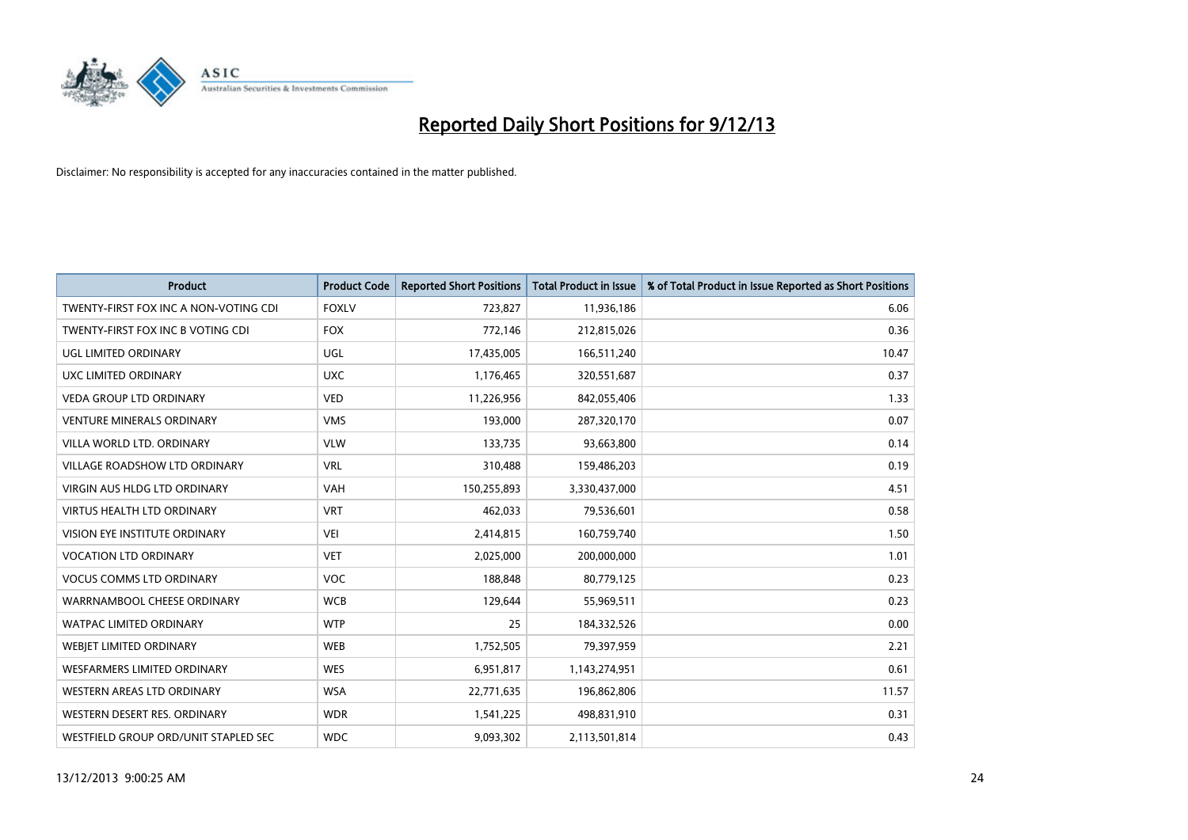

| <b>Product</b>                        | <b>Product Code</b> | <b>Reported Short Positions</b> | <b>Total Product in Issue</b> | % of Total Product in Issue Reported as Short Positions |
|---------------------------------------|---------------------|---------------------------------|-------------------------------|---------------------------------------------------------|
| TWENTY-FIRST FOX INC A NON-VOTING CDI | <b>FOXLV</b>        | 723,827                         | 11,936,186                    | 6.06                                                    |
| TWENTY-FIRST FOX INC B VOTING CDI     | <b>FOX</b>          | 772,146                         | 212,815,026                   | 0.36                                                    |
| UGL LIMITED ORDINARY                  | UGL                 | 17,435,005                      | 166,511,240                   | 10.47                                                   |
| UXC LIMITED ORDINARY                  | <b>UXC</b>          | 1,176,465                       | 320,551,687                   | 0.37                                                    |
| <b>VEDA GROUP LTD ORDINARY</b>        | <b>VED</b>          | 11,226,956                      | 842,055,406                   | 1.33                                                    |
| <b>VENTURE MINERALS ORDINARY</b>      | <b>VMS</b>          | 193,000                         | 287,320,170                   | 0.07                                                    |
| VILLA WORLD LTD. ORDINARY             | <b>VLW</b>          | 133,735                         | 93,663,800                    | 0.14                                                    |
| VILLAGE ROADSHOW LTD ORDINARY         | <b>VRL</b>          | 310,488                         | 159,486,203                   | 0.19                                                    |
| VIRGIN AUS HLDG LTD ORDINARY          | <b>VAH</b>          | 150,255,893                     | 3,330,437,000                 | 4.51                                                    |
| <b>VIRTUS HEALTH LTD ORDINARY</b>     | <b>VRT</b>          | 462,033                         | 79,536,601                    | 0.58                                                    |
| VISION EYE INSTITUTE ORDINARY         | <b>VEI</b>          | 2,414,815                       | 160,759,740                   | 1.50                                                    |
| <b>VOCATION LTD ORDINARY</b>          | <b>VET</b>          | 2,025,000                       | 200,000,000                   | 1.01                                                    |
| <b>VOCUS COMMS LTD ORDINARY</b>       | <b>VOC</b>          | 188,848                         | 80,779,125                    | 0.23                                                    |
| WARRNAMBOOL CHEESE ORDINARY           | <b>WCB</b>          | 129,644                         | 55,969,511                    | 0.23                                                    |
| <b>WATPAC LIMITED ORDINARY</b>        | <b>WTP</b>          | 25                              | 184,332,526                   | 0.00                                                    |
| WEBJET LIMITED ORDINARY               | <b>WEB</b>          | 1,752,505                       | 79,397,959                    | 2.21                                                    |
| WESFARMERS LIMITED ORDINARY           | <b>WES</b>          | 6,951,817                       | 1,143,274,951                 | 0.61                                                    |
| WESTERN AREAS LTD ORDINARY            | <b>WSA</b>          | 22,771,635                      | 196,862,806                   | 11.57                                                   |
| WESTERN DESERT RES. ORDINARY          | <b>WDR</b>          | 1,541,225                       | 498,831,910                   | 0.31                                                    |
| WESTFIELD GROUP ORD/UNIT STAPLED SEC  | <b>WDC</b>          | 9,093,302                       | 2,113,501,814                 | 0.43                                                    |